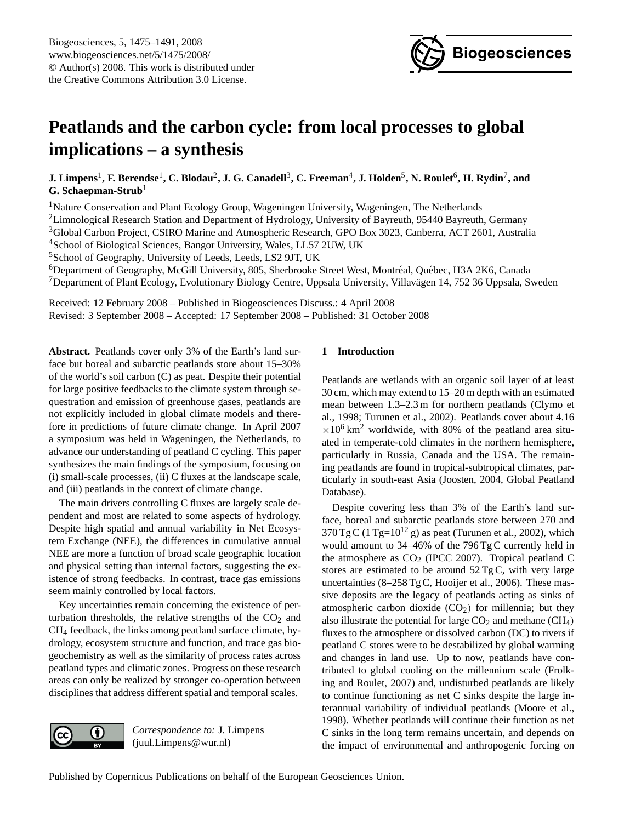

# <span id="page-0-0"></span>**Peatlands and the carbon cycle: from local processes to global implications – a synthesis**

 ${\bf J.~Limpens}^1,$   ${\bf F.~Berends}^1,$   ${\bf C.~Blodau}^2,$   ${\bf J.~G.~Canadell}^3,$   ${\bf C.~Freeman}^4,$   ${\bf J.~Holden}^5,$   ${\bf N.~Roulet}^6,$   ${\bf H.~Rydin}^7,$  and **G. Schaepman-Strub**<sup>1</sup>

<sup>1</sup>Nature Conservation and Plant Ecology Group, Wageningen University, Wageningen, The Netherlands <sup>2</sup>Limnological Research Station and Department of Hydrology, University of Bayreuth, 95440 Bayreuth, Germany <sup>3</sup>Global Carbon Project, CSIRO Marine and Atmospheric Research, GPO Box 3023, Canberra, ACT 2601, Australia <sup>4</sup>School of Biological Sciences, Bangor University, Wales, LL57 2UW, UK

<sup>5</sup>School of Geography, University of Leeds, Leeds, LS2 9JT, UK

<sup>6</sup>Department of Geography, McGill University, 805, Sherbrooke Street West, Montréal, Québec, H3A 2K6, Canada  $7$ Department of Plant Ecology, Evolutionary Biology Centre, Uppsala University, Villavägen 14, 752 36 Uppsala, Sweden

Received: 12 February 2008 – Published in Biogeosciences Discuss.: 4 April 2008 Revised: 3 September 2008 – Accepted: 17 September 2008 – Published: 31 October 2008

**Abstract.** Peatlands cover only 3% of the Earth's land surface but boreal and subarctic peatlands store about 15–30% of the world's soil carbon (C) as peat. Despite their potential for large positive feedbacks to the climate system through sequestration and emission of greenhouse gases, peatlands are not explicitly included in global climate models and therefore in predictions of future climate change. In April 2007 a symposium was held in Wageningen, the Netherlands, to advance our understanding of peatland C cycling. This paper synthesizes the main findings of the symposium, focusing on (i) small-scale processes, (ii) C fluxes at the landscape scale, and (iii) peatlands in the context of climate change.

The main drivers controlling C fluxes are largely scale dependent and most are related to some aspects of hydrology. Despite high spatial and annual variability in Net Ecosystem Exchange (NEE), the differences in cumulative annual NEE are more a function of broad scale geographic location and physical setting than internal factors, suggesting the existence of strong feedbacks. In contrast, trace gas emissions seem mainly controlled by local factors.

Key uncertainties remain concerning the existence of perturbation thresholds, the relative strengths of the  $CO<sub>2</sub>$  and CH<sup>4</sup> feedback, the links among peatland surface climate, hydrology, ecosystem structure and function, and trace gas biogeochemistry as well as the similarity of process rates across peatland types and climatic zones. Progress on these research areas can only be realized by stronger co-operation between disciplines that address different spatial and temporal scales.



*Correspondence to:* J. Limpens (juul.Limpens@wur.nl)

# **1 Introduction**

Peatlands are wetlands with an organic soil layer of at least 30 cm, which may extend to 15–20 m depth with an estimated mean between 1.3–2.3 m for northern peatlands (Clymo et al., 1998; Turunen et al., 2002). Peatlands cover about 4.16  $\times 10^6$  km<sup>2</sup> worldwide, with 80% of the peatland area situated in temperate-cold climates in the northern hemisphere, particularly in Russia, Canada and the USA. The remaining peatlands are found in tropical-subtropical climates, particularly in south-east Asia (Joosten, 2004, Global Peatland Database).

Despite covering less than 3% of the Earth's land surface, boreal and subarctic peatlands store between 270 and  $370 \text{ Tg C}$  (1 Tg=10<sup>12</sup> g) as peat (Turunen et al., 2002), which would amount to 34–46% of the 796 Tg C currently held in the atmosphere as  $CO<sub>2</sub>$  (IPCC 2007). Tropical peatland C stores are estimated to be around 52 Tg C, with very large uncertainties (8–258 Tg C, Hooijer et al., 2006). These massive deposits are the legacy of peatlands acting as sinks of atmospheric carbon dioxide  $(CO<sub>2</sub>)$  for millennia; but they also illustrate the potential for large  $CO<sub>2</sub>$  and methane (CH<sub>4</sub>) fluxes to the atmosphere or dissolved carbon (DC) to rivers if peatland C stores were to be destabilized by global warming and changes in land use. Up to now, peatlands have contributed to global cooling on the millennium scale (Frolking and Roulet, 2007) and, undisturbed peatlands are likely to continue functioning as net C sinks despite the large interannual variability of individual peatlands (Moore et al., 1998). Whether peatlands will continue their function as net C sinks in the long term remains uncertain, and depends on the impact of environmental and anthropogenic forcing on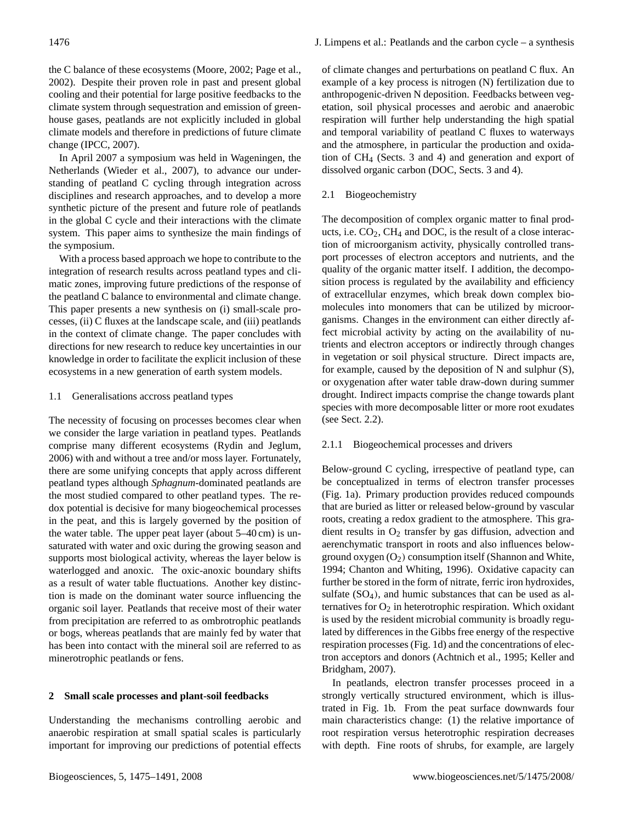the C balance of these ecosystems (Moore, 2002; Page et al., 2002). Despite their proven role in past and present global cooling and their potential for large positive feedbacks to the climate system through sequestration and emission of greenhouse gases, peatlands are not explicitly included in global climate models and therefore in predictions of future climate change (IPCC, 2007).

In April 2007 a symposium was held in Wageningen, the Netherlands (Wieder et al., 2007), to advance our understanding of peatland C cycling through integration across disciplines and research approaches, and to develop a more synthetic picture of the present and future role of peatlands in the global C cycle and their interactions with the climate system. This paper aims to synthesize the main findings of the symposium.

With a process based approach we hope to contribute to the integration of research results across peatland types and climatic zones, improving future predictions of the response of the peatland C balance to environmental and climate change. This paper presents a new synthesis on (i) small-scale processes, (ii) C fluxes at the landscape scale, and (iii) peatlands in the context of climate change. The paper concludes with directions for new research to reduce key uncertainties in our knowledge in order to facilitate the explicit inclusion of these ecosystems in a new generation of earth system models.

#### 1.1 Generalisations accross peatland types

The necessity of focusing on processes becomes clear when we consider the large variation in peatland types. Peatlands comprise many different ecosystems (Rydin and Jeglum, 2006) with and without a tree and/or moss layer. Fortunately, there are some unifying concepts that apply across different peatland types although *Sphagnum*-dominated peatlands are the most studied compared to other peatland types. The redox potential is decisive for many biogeochemical processes in the peat, and this is largely governed by the position of the water table. The upper peat layer (about 5–40 cm) is unsaturated with water and oxic during the growing season and supports most biological activity, whereas the layer below is waterlogged and anoxic. The oxic-anoxic boundary shifts as a result of water table fluctuations. Another key distinction is made on the dominant water source influencing the organic soil layer. Peatlands that receive most of their water from precipitation are referred to as ombrotrophic peatlands or bogs, whereas peatlands that are mainly fed by water that has been into contact with the mineral soil are referred to as minerotrophic peatlands or fens.

#### **2 Small scale processes and plant-soil feedbacks**

Understanding the mechanisms controlling aerobic and anaerobic respiration at small spatial scales is particularly important for improving our predictions of potential effects of climate changes and perturbations on peatland C flux. An example of a key process is nitrogen (N) fertilization due to anthropogenic-driven N deposition. Feedbacks between vegetation, soil physical processes and aerobic and anaerobic respiration will further help understanding the high spatial and temporal variability of peatland C fluxes to waterways and the atmosphere, in particular the production and oxidation of CH<sup>4</sup> (Sects. 3 and 4) and generation and export of dissolved organic carbon (DOC, Sects. 3 and 4).

# 2.1 Biogeochemistry

The decomposition of complex organic matter to final products, i.e.  $CO<sub>2</sub>$ , CH<sub>4</sub> and DOC, is the result of a close interaction of microorganism activity, physically controlled transport processes of electron acceptors and nutrients, and the quality of the organic matter itself. I addition, the decomposition process is regulated by the availability and efficiency of extracellular enzymes, which break down complex biomolecules into monomers that can be utilized by microorganisms. Changes in the environment can either directly affect microbial activity by acting on the availability of nutrients and electron acceptors or indirectly through changes in vegetation or soil physical structure. Direct impacts are, for example, caused by the deposition of N and sulphur (S), or oxygenation after water table draw-down during summer drought. Indirect impacts comprise the change towards plant species with more decomposable litter or more root exudates (see Sect. 2.2).

## 2.1.1 Biogeochemical processes and drivers

Below-ground C cycling, irrespective of peatland type, can be conceptualized in terms of electron transfer processes (Fig. 1a). Primary production provides reduced compounds that are buried as litter or released below-ground by vascular roots, creating a redox gradient to the atmosphere. This gradient results in  $O_2$  transfer by gas diffusion, advection and aerenchymatic transport in roots and also influences belowground oxygen  $(O_2)$  consumption itself (Shannon and White, 1994; Chanton and Whiting, 1996). Oxidative capacity can further be stored in the form of nitrate, ferric iron hydroxides, sulfate  $(SO_4)$ , and humic substances that can be used as alternatives for  $O_2$  in heterotrophic respiration. Which oxidant is used by the resident microbial community is broadly regulated by differences in the Gibbs free energy of the respective respiration processes (Fig. 1d) and the concentrations of electron acceptors and donors (Achtnich et al., 1995; Keller and Bridgham, 2007).

In peatlands, electron transfer processes proceed in a strongly vertically structured environment, which is illustrated in Fig. 1b. From the peat surface downwards four main characteristics change: (1) the relative importance of root respiration versus heterotrophic respiration decreases with depth. Fine roots of shrubs, for example, are largely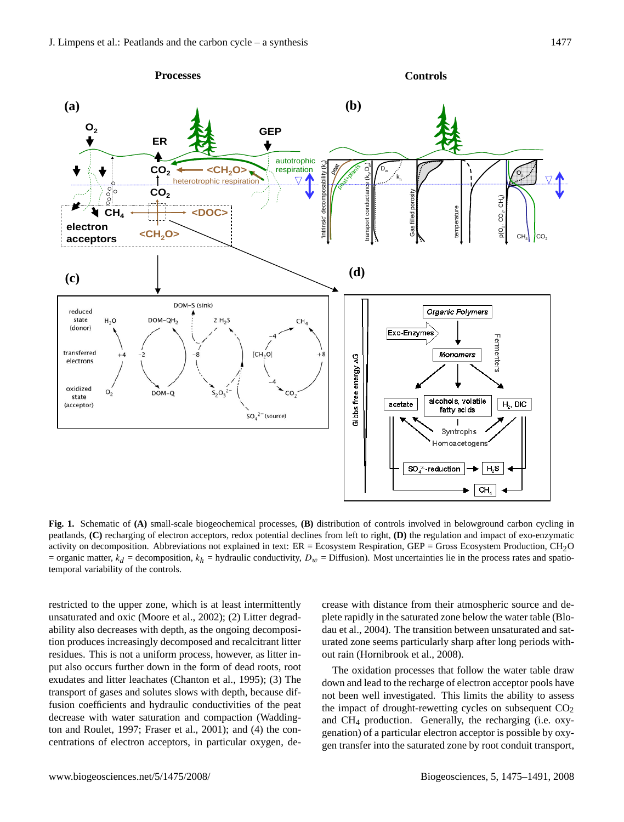

**Fig. 1.** Schematic of **(A)** small-scale biogeochemical processes, **(B)** distribution of controls involved in belowground carbon cycling in peatlands, **(C)** recharging of electron acceptors, redox potential declines from left to right, **(D)** the regulation and impact of exo-enzymatic activity on decomposition. Abbreviations not explained in text:  $ER = E$ cosystem Respiration,  $GEP = G$ ross Ecosystem Production,  $CH_2O$ = organic matter,  $k_d$  = decomposition,  $k_h$  = hydraulic conductivity,  $D_w$  = Diffusion). Most uncertainties lie in the process rates and spatiotemporal variability of the controls.

tion produces increasingly decomposed and recalcitrant litter restricted to the upper zone, which is at least intermittently unsaturated and oxic (Moore et al., 2002); (2) Litter degradability also decreases with depth, as the ongoing decomposiresidues. This is not a uniform process, however, as litter input also occurs further down in the form of dead roots, root exudates and litter leachates (Chanton et al., 1995); (3) The transport of gases and solutes slows with depth, because diffusion coefficients and hydraulic conductivities of the peat decrease with water saturation and compaction (Waddington and Roulet, 1997; Fraser et al., 2001); and (4) the concentrations of electron acceptors, in particular oxygen, decrease with distance from their atmospheric source and deplete rapidly in the saturated zone below the water table (Blodau et al., 2004). The transition between unsaturated and saturated zone seems particularly sharp after long periods without rain (Hornibrook et al., 2008).

The oxidation processes that follow the water table draw down and lead to the recharge of electron acceptor pools have not been well investigated. This limits the ability to assess the impact of drought-rewetting cycles on subsequent  $CO<sub>2</sub>$ and CH<sup>4</sup> production. Generally, the recharging (i.e. oxygenation) of a particular electron acceptor is possible by oxygen transfer into the saturated zone by root conduit transport,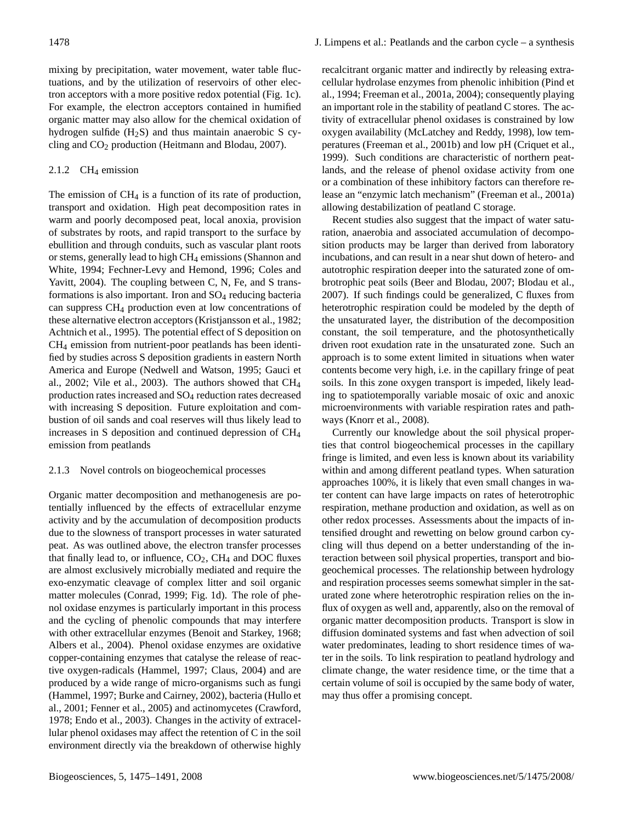mixing by precipitation, water movement, water table fluctuations, and by the utilization of reservoirs of other electron acceptors with a more positive redox potential (Fig. 1c). For example, the electron acceptors contained in humified organic matter may also allow for the chemical oxidation of hydrogen sulfide  $(H_2S)$  and thus maintain anaerobic S cycling and CO<sup>2</sup> production (Heitmann and Blodau, 2007).

# 2.1.2 CH<sub>4</sub> emission

The emission of  $CH<sub>4</sub>$  is a function of its rate of production, transport and oxidation. High peat decomposition rates in warm and poorly decomposed peat, local anoxia, provision of substrates by roots, and rapid transport to the surface by ebullition and through conduits, such as vascular plant roots or stems, generally lead to high CH<sub>4</sub> emissions (Shannon and White, 1994; Fechner-Levy and Hemond, 1996; Coles and Yavitt, 2004). The coupling between C, N, Fe, and S transformations is also important. Iron and  $SO<sub>4</sub>$  reducing bacteria can suppress CH<sup>4</sup> production even at low concentrations of these alternative electron acceptors (Kristjansson et al., 1982; Achtnich et al., 1995). The potential effect of S deposition on CH<sup>4</sup> emission from nutrient-poor peatlands has been identified by studies across S deposition gradients in eastern North America and Europe (Nedwell and Watson, 1995; Gauci et al., 2002; Vile et al., 2003). The authors showed that CH<sup>4</sup> production rates increased and SO<sup>4</sup> reduction rates decreased with increasing S deposition. Future exploitation and combustion of oil sands and coal reserves will thus likely lead to increases in S deposition and continued depression of CH<sup>4</sup> emission from peatlands

#### 2.1.3 Novel controls on biogeochemical processes

Organic matter decomposition and methanogenesis are potentially influenced by the effects of extracellular enzyme activity and by the accumulation of decomposition products due to the slowness of transport processes in water saturated peat. As was outlined above, the electron transfer processes that finally lead to, or influence,  $CO<sub>2</sub>$ , CH<sub>4</sub> and DOC fluxes are almost exclusively microbially mediated and require the exo-enzymatic cleavage of complex litter and soil organic matter molecules (Conrad, 1999; Fig. 1d). The role of phenol oxidase enzymes is particularly important in this process and the cycling of phenolic compounds that may interfere with other extracellular enzymes (Benoit and Starkey, 1968; Albers et al., 2004). Phenol oxidase enzymes are oxidative copper-containing enzymes that catalyse the release of reactive oxygen-radicals (Hammel, 1997; Claus, 2004) and are produced by a wide range of micro-organisms such as fungi (Hammel, 1997; Burke and Cairney, 2002), bacteria (Hullo et al., 2001; Fenner et al., 2005) and actinomycetes (Crawford, 1978; Endo et al., 2003). Changes in the activity of extracellular phenol oxidases may affect the retention of C in the soil environment directly via the breakdown of otherwise highly recalcitrant organic matter and indirectly by releasing extracellular hydrolase enzymes from phenolic inhibition (Pind et al., 1994; Freeman et al., 2001a, 2004); consequently playing an important role in the stability of peatland C stores. The activity of extracellular phenol oxidases is constrained by low oxygen availability (McLatchey and Reddy, 1998), low temperatures (Freeman et al., 2001b) and low pH (Criquet et al., 1999). Such conditions are characteristic of northern peatlands, and the release of phenol oxidase activity from one or a combination of these inhibitory factors can therefore release an "enzymic latch mechanism" (Freeman et al., 2001a) allowing destabilization of peatland C storage.

Recent studies also suggest that the impact of water saturation, anaerobia and associated accumulation of decomposition products may be larger than derived from laboratory incubations, and can result in a near shut down of hetero- and autotrophic respiration deeper into the saturated zone of ombrotrophic peat soils (Beer and Blodau, 2007; Blodau et al., 2007). If such findings could be generalized, C fluxes from heterotrophic respiration could be modeled by the depth of the unsaturated layer, the distribution of the decomposition constant, the soil temperature, and the photosynthetically driven root exudation rate in the unsaturated zone. Such an approach is to some extent limited in situations when water contents become very high, i.e. in the capillary fringe of peat soils. In this zone oxygen transport is impeded, likely leading to spatiotemporally variable mosaic of oxic and anoxic microenvironments with variable respiration rates and pathways (Knorr et al., 2008).

Currently our knowledge about the soil physical properties that control biogeochemical processes in the capillary fringe is limited, and even less is known about its variability within and among different peatland types. When saturation approaches 100%, it is likely that even small changes in water content can have large impacts on rates of heterotrophic respiration, methane production and oxidation, as well as on other redox processes. Assessments about the impacts of intensified drought and rewetting on below ground carbon cycling will thus depend on a better understanding of the interaction between soil physical properties, transport and biogeochemical processes. The relationship between hydrology and respiration processes seems somewhat simpler in the saturated zone where heterotrophic respiration relies on the influx of oxygen as well and, apparently, also on the removal of organic matter decomposition products. Transport is slow in diffusion dominated systems and fast when advection of soil water predominates, leading to short residence times of water in the soils. To link respiration to peatland hydrology and climate change, the water residence time, or the time that a certain volume of soil is occupied by the same body of water, may thus offer a promising concept.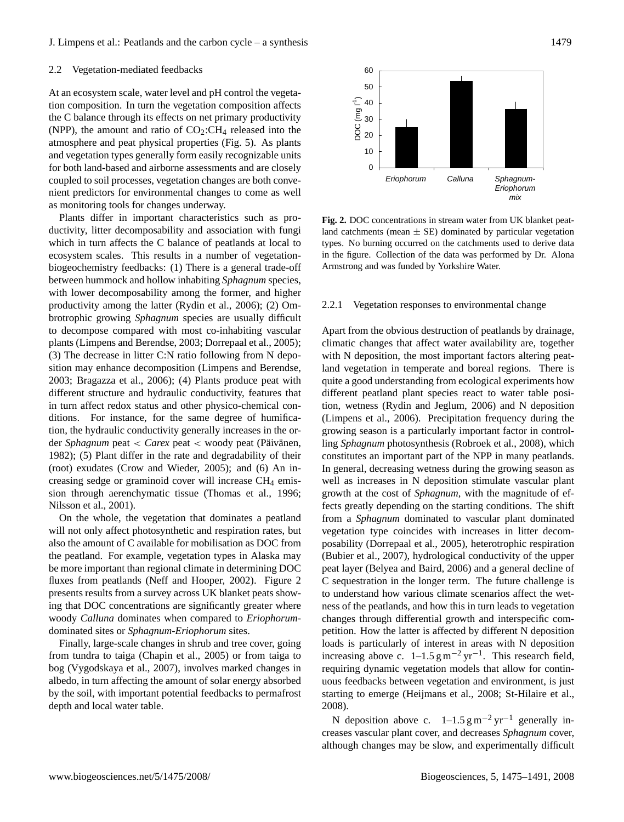#### 2.2 Vegetation-mediated feedbacks

At an ecosystem scale, water level and pH control the vegetation composition. In turn the vegetation composition affects the C balance through its effects on net primary productivity (NPP), the amount and ratio of  $CO<sub>2</sub>:CH<sub>4</sub>$  released into the atmosphere and peat physical properties (Fig. 5). As plants and vegetation types generally form easily recognizable units for both land-based and airborne assessments and are closely coupled to soil processes, vegetation changes are both convenient predictors for environmental changes to come as well as monitoring tools for changes underway.

Plants differ in important characteristics such as productivity, litter decomposability and association with fungi which in turn affects the C balance of peatlands at local to ecosystem scales. This results in a number of vegetationbiogeochemistry feedbacks: (1) There is a general trade-off between hummock and hollow inhabiting *Sphagnum* species, with lower decomposability among the former, and higher productivity among the latter (Rydin et al., 2006); (2) Ombrotrophic growing *Sphagnum* species are usually difficult to decompose compared with most co-inhabiting vascular plants (Limpens and Berendse, 2003; Dorrepaal et al., 2005); (3) The decrease in litter C:N ratio following from N deposition may enhance decomposition (Limpens and Berendse, 2003; Bragazza et al., 2006); (4) Plants produce peat with different structure and hydraulic conductivity, features that in turn affect redox status and other physico-chemical conditions. For instance, for the same degree of humification, the hydraulic conductivity generally increases in the order *Sphagnum* peat < *Carex* peat < woody peat (Päivänen, 1982); (5) Plant differ in the rate and degradability of their (root) exudates (Crow and Wieder, 2005); and (6) An increasing sedge or graminoid cover will increase  $CH<sub>4</sub>$  emission through aerenchymatic tissue (Thomas et al., 1996; Nilsson et al., 2001).

On the whole, the vegetation that dominates a peatland will not only affect photosynthetic and respiration rates, but also the amount of C available for mobilisation as DOC from the peatland. For example, vegetation types in Alaska may be more important than regional climate in determining DOC fluxes from peatlands (Neff and Hooper, 2002). Figure 2 presents results from a survey across UK blanket peats showing that DOC concentrations are significantly greater where woody *Calluna* dominates when compared to *Eriophorum*dominated sites or *Sphagnum-Eriophorum* sites.

Finally, large-scale changes in shrub and tree cover, going from tundra to taiga (Chapin et al., 2005) or from taiga to bog (Vygodskaya et al., 2007), involves marked changes in albedo, in turn affecting the amount of solar energy absorbed by the soil, with important potential feedbacks to permafrost depth and local water table.



*Eriophorum Calluna Sphagnum-*

*Eriophorum mix*

**Fig. 2.** DOC concentrations in stream water from UK blanket peatland catchments (mean  $\pm$  SE) dominated by particular vegetation types. No burning occurred on the catchments used to derive data in the figure. Collection of the data was performed by Dr. Alona Armstrong and was funded by Yorkshire Water.

#### 2.2.1 Vegetation responses to environmental change

Apart from the obvious destruction of peatlands by drainage, climatic changes that affect water availability are, together with N deposition, the most important factors altering peatland vegetation in temperate and boreal regions. There is quite a good understanding from ecological experiments how different peatland plant species react to water table position, wetness (Rydin and Jeglum, 2006) and N deposition (Limpens et al., 2006). Precipitation frequency during the growing season is a particularly important factor in controlling *Sphagnum* photosynthesis (Robroek et al., 2008), which constitutes an important part of the NPP in many peatlands. In general, decreasing wetness during the growing season as well as increases in N deposition stimulate vascular plant growth at the cost of *Sphagnum*, with the magnitude of effects greatly depending on the starting conditions. The shift from a *Sphagnum* dominated to vascular plant dominated vegetation type coincides with increases in litter decomposability (Dorrepaal et al., 2005), heterotrophic respiration (Bubier et al., 2007), hydrological conductivity of the upper peat layer (Belyea and Baird, 2006) and a general decline of C sequestration in the longer term. The future challenge is to understand how various climate scenarios affect the wetness of the peatlands, and how this in turn leads to vegetation changes through differential growth and interspecific competition. How the latter is affected by different N deposition loads is particularly of interest in areas with N deposition increasing above c.  $1-1.5 \text{ g m}^{-2} \text{ yr}^{-1}$ . This research field, requiring dynamic vegetation models that allow for continuous feedbacks between vegetation and environment, is just starting to emerge (Heijmans et al., 2008; St-Hilaire et al., 2008).

N deposition above c.  $1-1.5 \text{ g m}^{-2} \text{ yr}^{-1}$  generally increases vascular plant cover, and decreases *Sphagnum* cover, although changes may be slow, and experimentally difficult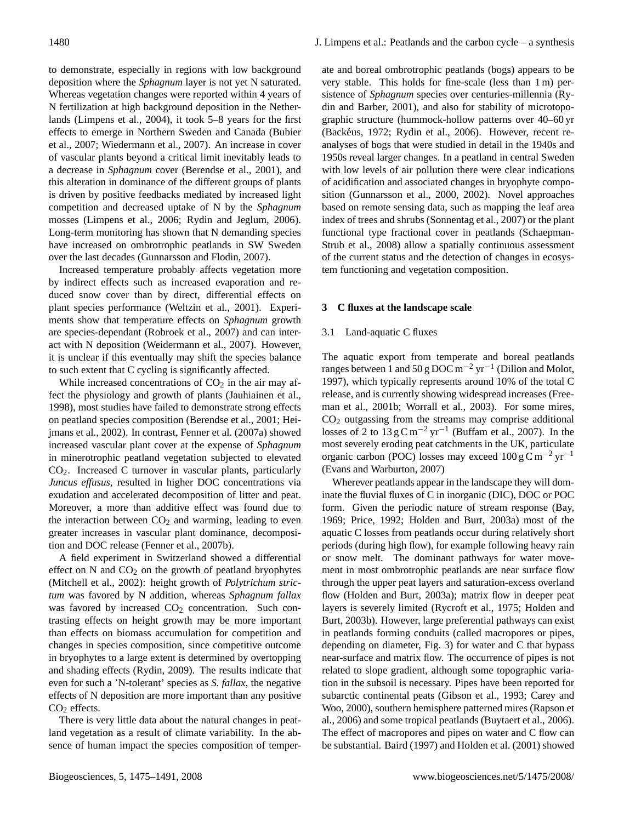to demonstrate, especially in regions with low background deposition where the *Sphagnum* layer is not yet N saturated. Whereas vegetation changes were reported within 4 years of N fertilization at high background deposition in the Netherlands (Limpens et al., 2004), it took 5–8 years for the first effects to emerge in Northern Sweden and Canada (Bubier et al., 2007; Wiedermann et al., 2007). An increase in cover of vascular plants beyond a critical limit inevitably leads to a decrease in *Sphagnum* cover (Berendse et al., 2001), and this alteration in dominance of the different groups of plants is driven by positive feedbacks mediated by increased light competition and decreased uptake of N by the *Sphagnum* mosses (Limpens et al., 2006; Rydin and Jeglum, 2006). Long-term monitoring has shown that N demanding species have increased on ombrotrophic peatlands in SW Sweden over the last decades (Gunnarsson and Flodin, 2007).

Increased temperature probably affects vegetation more by indirect effects such as increased evaporation and reduced snow cover than by direct, differential effects on plant species performance (Weltzin et al., 2001). Experiments show that temperature effects on *Sphagnum* growth are species-dependant (Robroek et al., 2007) and can interact with N deposition (Weidermann et al., 2007). However, it is unclear if this eventually may shift the species balance to such extent that C cycling is significantly affected.

While increased concentrations of  $CO<sub>2</sub>$  in the air may affect the physiology and growth of plants (Jauhiainen et al., 1998), most studies have failed to demonstrate strong effects on peatland species composition (Berendse et al., 2001; Heijmans et al., 2002). In contrast, Fenner et al. (2007a) showed increased vascular plant cover at the expense of *Sphagnum* in minerotrophic peatland vegetation subjected to elevated CO2. Increased C turnover in vascular plants, particularly *Juncus effusus*, resulted in higher DOC concentrations via exudation and accelerated decomposition of litter and peat. Moreover, a more than additive effect was found due to the interaction between  $CO<sub>2</sub>$  and warming, leading to even greater increases in vascular plant dominance, decomposition and DOC release (Fenner et al., 2007b).

A field experiment in Switzerland showed a differential effect on  $N$  and  $CO<sub>2</sub>$  on the growth of peatland bryophytes (Mitchell et al., 2002): height growth of *Polytrichum strictum* was favored by N addition, whereas *Sphagnum fallax* was favored by increased  $CO<sub>2</sub>$  concentration. Such contrasting effects on height growth may be more important than effects on biomass accumulation for competition and changes in species composition, since competitive outcome in bryophytes to a large extent is determined by overtopping and shading effects (Rydin, 2009). The results indicate that even for such a 'N-tolerant' species as *S. fallax*, the negative effects of N deposition are more important than any positive  $CO<sub>2</sub>$  effects.

There is very little data about the natural changes in peatland vegetation as a result of climate variability. In the absence of human impact the species composition of temper-

ate and boreal ombrotrophic peatlands (bogs) appears to be very stable. This holds for fine-scale (less than 1 m) persistence of *Sphagnum* species over centuries-millennia (Rydin and Barber, 2001), and also for stability of microtopographic structure (hummock-hollow patterns over 40–60 yr (Backéus, 1972; Rydin et al., 2006). However, recent reanalyses of bogs that were studied in detail in the 1940s and 1950s reveal larger changes. In a peatland in central Sweden with low levels of air pollution there were clear indications of acidification and associated changes in bryophyte composition (Gunnarsson et al., 2000, 2002). Novel approaches based on remote sensing data, such as mapping the leaf area index of trees and shrubs (Sonnentag et al., 2007) or the plant functional type fractional cover in peatlands (Schaepman-Strub et al., 2008) allow a spatially continuous assessment of the current status and the detection of changes in ecosystem functioning and vegetation composition.

# **3 C fluxes at the landscape scale**

# 3.1 Land-aquatic C fluxes

The aquatic export from temperate and boreal peatlands ranges between 1 and 50 g DOC m−<sup>2</sup> yr−<sup>1</sup> (Dillon and Molot, 1997), which typically represents around 10% of the total C release, and is currently showing widespread increases (Freeman et al., 2001b; Worrall et al., 2003). For some mires,  $CO<sub>2</sub>$  outgassing from the streams may comprise additional losses of 2 to  $13 \text{ g C m}^{-2} \text{ yr}^{-1}$  (Buffam et al., 2007). In the most severely eroding peat catchments in the UK, particulate organic carbon (POC) losses may exceed  $100 \text{ g C m}^{-2} \text{ yr}^{-1}$ (Evans and Warburton, 2007)

Wherever peatlands appear in the landscape they will dominate the fluvial fluxes of C in inorganic (DIC), DOC or POC form. Given the periodic nature of stream response (Bay, 1969; Price, 1992; Holden and Burt, 2003a) most of the aquatic C losses from peatlands occur during relatively short periods (during high flow), for example following heavy rain or snow melt. The dominant pathways for water movement in most ombrotrophic peatlands are near surface flow through the upper peat layers and saturation-excess overland flow (Holden and Burt, 2003a); matrix flow in deeper peat layers is severely limited (Rycroft et al., 1975; Holden and Burt, 2003b). However, large preferential pathways can exist in peatlands forming conduits (called macropores or pipes, depending on diameter, Fig. 3) for water and C that bypass near-surface and matrix flow. The occurrence of pipes is not related to slope gradient, although some topographic variation in the subsoil is necessary. Pipes have been reported for subarctic continental peats (Gibson et al., 1993; Carey and Woo, 2000), southern hemisphere patterned mires (Rapson et al., 2006) and some tropical peatlands (Buytaert et al., 2006). The effect of macropores and pipes on water and C flow can be substantial. Baird (1997) and Holden et al. (2001) showed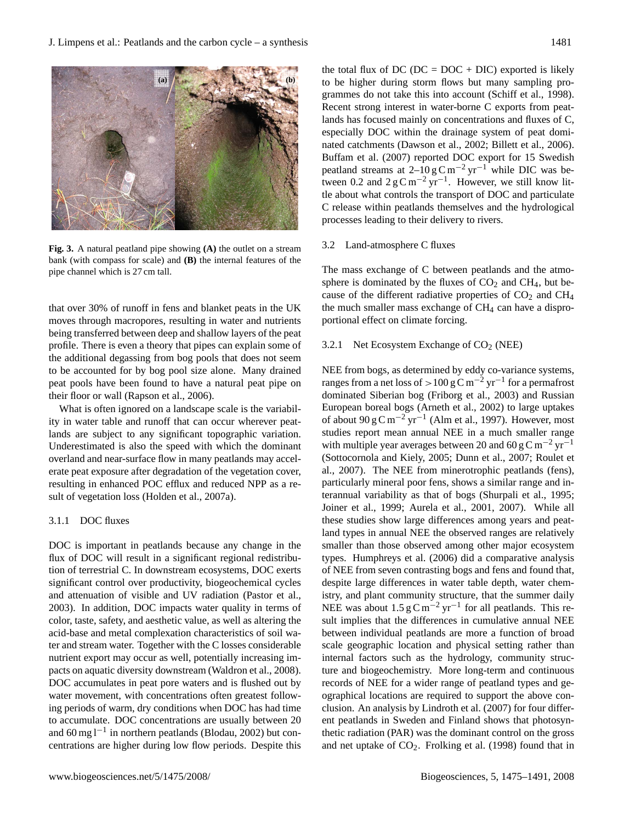

**Fig. 3.** A natural peatland pipe showing **(A)** the outlet on a stream bank (with compass for scale) and **(B)** the internal features of the pipe channel which is 27 cm tall.

that over 30% of runoff in fens and blanket peats in the UK moves through macropores, resulting in water and nutrients being transferred between deep and shallow layers of the peat profile. There is even a theory that pipes can explain some of the additional degassing from bog pools that does not seem to be accounted for by bog pool size alone. Many drained peat pools have been found to have a natural peat pipe on their floor or wall (Rapson et al., 2006).

Underestimated is also the speed with which the dominant What is often ignored on a landscape scale is the variability in water table and runoff that can occur wherever peatlands are subject to any significant topographic variation. overland and near-surface flow in many peatlands may accelerate peat exposure after degradation of the vegetation cover, resulting in enhanced POC efflux and reduced NPP as a result of vegetation loss (Holden et al., 2007a).

# 3.1.1 DOC fluxes

DOC is important in peatlands because any change in the flux of DOC will result in a significant regional redistribution of terrestrial C. In downstream ecosystems, DOC exerts significant control over productivity, biogeochemical cycles and attenuation of visible and UV radiation (Pastor et al., 2003). In addition, DOC impacts water quality in terms of color, taste, safety, and aesthetic value, as well as altering the acid-base and metal complexation characteristics of soil water and stream water. Together with the C losses considerable nutrient export may occur as well, potentially increasing impacts on aquatic diversity downstream (Waldron et al., 2008). DOC accumulates in peat pore waters and is flushed out by water movement, with concentrations often greatest following periods of warm, dry conditions when DOC has had time to accumulate. DOC concentrations are usually between 20 and 60 mg l−<sup>1</sup> in northern peatlands (Blodau, 2002) but concentrations are higher during low flow periods. Despite this the total flux of  $DC$  ( $DC = DOC + DIC$ ) exported is likely to be higher during storm flows but many sampling programmes do not take this into account (Schiff et al., 1998). Recent strong interest in water-borne C exports from peatlands has focused mainly on concentrations and fluxes of C, especially DOC within the drainage system of peat dominated catchments (Dawson et al., 2002; Billett et al., 2006). Buffam et al. (2007) reported DOC export for 15 Swedish peatland streams at  $2-10 \text{ g C m}^{-2} \text{ yr}^{-1}$  while DIC was between 0.2 and  $2 \text{ g C m}^{-2} \text{ yr}^{-1}$ . However, we still know little about what controls the transport of DOC and particulate C release within peatlands themselves and the hydrological processes leading to their delivery to rivers.

#### 3.2 Land-atmosphere C fluxes

The mass exchange of C between peatlands and the atmosphere is dominated by the fluxes of  $CO<sub>2</sub>$  and  $CH<sub>4</sub>$ , but because of the different radiative properties of  $CO<sub>2</sub>$  and  $CH<sub>4</sub>$ the much smaller mass exchange of  $CH<sub>4</sub>$  can have a disproportional effect on climate forcing.

# 3.2.1 Net Ecosystem Exchange of  $CO<sub>2</sub>$  (NEE)

NEE from bogs, as determined by eddy co-variance systems, ranges from a net loss of >100 g C m<sup>-2</sup> yr<sup>-1</sup> for a permafrost dominated Siberian bog (Friborg et al., 2003) and Russian European boreal bogs (Arneth et al., 2002) to large uptakes of about  $90 \text{ g C m}^{-2} \text{ yr}^{-1}$  (Alm et al., 1997). However, most studies report mean annual NEE in a much smaller range with multiple year averages between 20 and 60 g C m<sup>-2</sup> yr<sup>-1</sup> (Sottocornola and Kiely, 2005; Dunn et al., 2007; Roulet et al., 2007). The NEE from minerotrophic peatlands (fens), particularly mineral poor fens, shows a similar range and interannual variability as that of bogs (Shurpali et al., 1995; Joiner et al., 1999; Aurela et al., 2001, 2007). While all these studies show large differences among years and peatland types in annual NEE the observed ranges are relatively smaller than those observed among other major ecosystem types. Humphreys et al. (2006) did a comparative analysis of NEE from seven contrasting bogs and fens and found that, despite large differences in water table depth, water chemistry, and plant community structure, that the summer daily NEE was about  $1.5 \text{ g C m}^{-2} \text{ yr}^{-1}$  for all peatlands. This result implies that the differences in cumulative annual NEE between individual peatlands are more a function of broad scale geographic location and physical setting rather than internal factors such as the hydrology, community structure and biogeochemistry. More long-term and continuous records of NEE for a wider range of peatland types and geographical locations are required to support the above conclusion. An analysis by Lindroth et al. (2007) for four different peatlands in Sweden and Finland shows that photosynthetic radiation (PAR) was the dominant control on the gross and net uptake of  $CO<sub>2</sub>$ . Frolking et al. (1998) found that in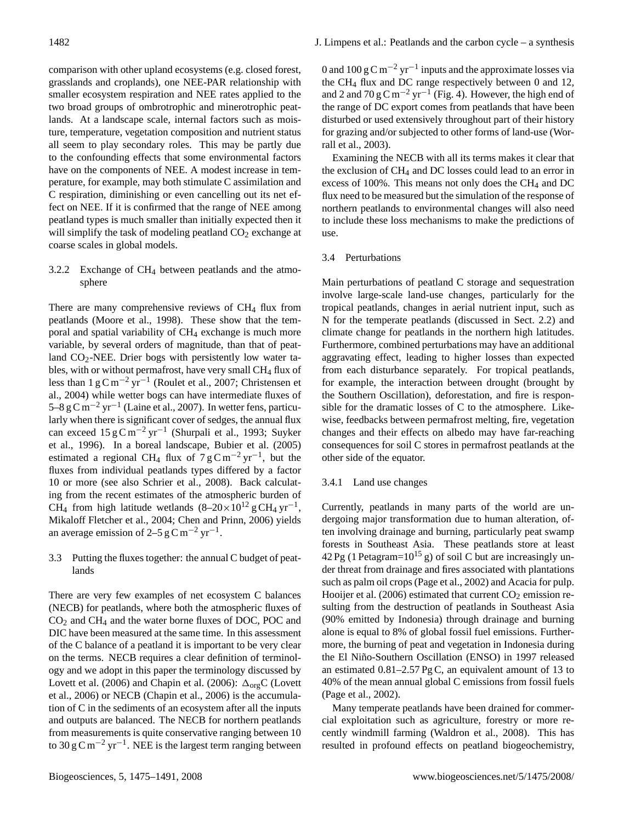comparison with other upland ecosystems (e.g. closed forest, grasslands and croplands), one NEE-PAR relationship with smaller ecosystem respiration and NEE rates applied to the two broad groups of ombrotrophic and minerotrophic peatlands. At a landscape scale, internal factors such as moisture, temperature, vegetation composition and nutrient status all seem to play secondary roles. This may be partly due to the confounding effects that some environmental factors have on the components of NEE. A modest increase in temperature, for example, may both stimulate C assimilation and C respiration, diminishing or even cancelling out its net effect on NEE. If it is confirmed that the range of NEE among peatland types is much smaller than initially expected then it will simplify the task of modeling peatland  $CO<sub>2</sub>$  exchange at coarse scales in global models.

# 3.2.2 Exchange of CH<sup>4</sup> between peatlands and the atmosphere

There are many comprehensive reviews of  $CH<sub>4</sub>$  flux from peatlands (Moore et al., 1998). These show that the temporal and spatial variability of CH<sup>4</sup> exchange is much more variable, by several orders of magnitude, than that of peatland  $CO<sub>2</sub>$ -NEE. Drier bogs with persistently low water tables, with or without permafrost, have very small CH<sub>4</sub> flux of less than  $1 \text{ g C m}^{-2} \text{ yr}^{-1}$  (Roulet et al., 2007; Christensen et al., 2004) while wetter bogs can have intermediate fluxes of 5–8 g C m<sup>-2</sup> yr<sup>-1</sup> (Laine et al., 2007). In wetter fens, particularly when there is significant cover of sedges, the annual flux can exceed  $15 \text{ g C m}^{-2} \text{ yr}^{-1}$  (Shurpali et al., 1993; Suyker et al., 1996). In a boreal landscape, Bubier et al. (2005) estimated a regional CH<sub>4</sub> flux of  $7 \text{ g C m}^{-2} \text{ yr}^{-1}$ , but the fluxes from individual peatlands types differed by a factor 10 or more (see also Schrier et al., 2008). Back calculating from the recent estimates of the atmospheric burden of CH<sub>4</sub> from high latitude wetlands  $(8-20\times10^{12} \text{ g CH}_4 \text{ yr}^{-1})$ , Mikaloff Fletcher et al., 2004; Chen and Prinn, 2006) yields an average emission of 2–5  $\rm g \, C \, m^{-2} \, yr^{-1}$ .

# 3.3 Putting the fluxes together: the annual C budget of peatlands

There are very few examples of net ecosystem C balances (NECB) for peatlands, where both the atmospheric fluxes of  $CO<sub>2</sub>$  and CH<sub>4</sub> and the water borne fluxes of DOC, POC and DIC have been measured at the same time. In this assessment of the C balance of a peatland it is important to be very clear on the terms. NECB requires a clear definition of terminology and we adopt in this paper the terminology discussed by Lovett et al. (2006) and Chapin et al. (2006):  $\Delta_{\text{org}}C$  (Lovett et al., 2006) or NECB (Chapin et al., 2006) is the accumulation of C in the sediments of an ecosystem after all the inputs and outputs are balanced. The NECB for northern peatlands from measurements is quite conservative ranging between 10 to 30 g C m<sup>-2</sup> yr<sup>-1</sup>. NEE is the largest term ranging between

0 and 100 g C m<sup>-2</sup> yr<sup>-1</sup> inputs and the approximate losses via the CH<sup>4</sup> flux and DC range respectively between 0 and 12, and 2 and  $70 \text{ g C m}^{-2} \text{ yr}^{-1}$  (Fig. 4). However, the high end of the range of DC export comes from peatlands that have been disturbed or used extensively throughout part of their history for grazing and/or subjected to other forms of land-use (Worrall et al., 2003).

Examining the NECB with all its terms makes it clear that the exclusion of CH<sup>4</sup> and DC losses could lead to an error in excess of 100%. This means not only does the  $CH<sub>4</sub>$  and DC flux need to be measured but the simulation of the response of northern peatlands to environmental changes will also need to include these loss mechanisms to make the predictions of use.

# 3.4 Perturbations

Main perturbations of peatland C storage and sequestration involve large-scale land-use changes, particularly for the tropical peatlands, changes in aerial nutrient input, such as N for the temperate peatlands (discussed in Sect. 2.2) and climate change for peatlands in the northern high latitudes. Furthermore, combined perturbations may have an additional aggravating effect, leading to higher losses than expected from each disturbance separately. For tropical peatlands, for example, the interaction between drought (brought by the Southern Oscillation), deforestation, and fire is responsible for the dramatic losses of C to the atmosphere. Likewise, feedbacks between permafrost melting, fire, vegetation changes and their effects on albedo may have far-reaching consequences for soil C stores in permafrost peatlands at the other side of the equator.

# 3.4.1 Land use changes

Currently, peatlands in many parts of the world are undergoing major transformation due to human alteration, often involving drainage and burning, particularly peat swamp forests in Southeast Asia. These peatlands store at least 42 Pg (1 Petagram= $10^{15}$  g) of soil C but are increasingly under threat from drainage and fires associated with plantations such as palm oil crops (Page et al., 2002) and Acacia for pulp. Hooijer et al. (2006) estimated that current  $CO<sub>2</sub>$  emission resulting from the destruction of peatlands in Southeast Asia (90% emitted by Indonesia) through drainage and burning alone is equal to 8% of global fossil fuel emissions. Furthermore, the burning of peat and vegetation in Indonesia during the El Niño-Southern Oscillation (ENSO) in 1997 released an estimated 0.81–2.57 Pg C, an equivalent amount of 13 to 40% of the mean annual global C emissions from fossil fuels (Page et al., 2002).

Many temperate peatlands have been drained for commercial exploitation such as agriculture, forestry or more recently windmill farming (Waldron et al., 2008). This has resulted in profound effects on peatland biogeochemistry,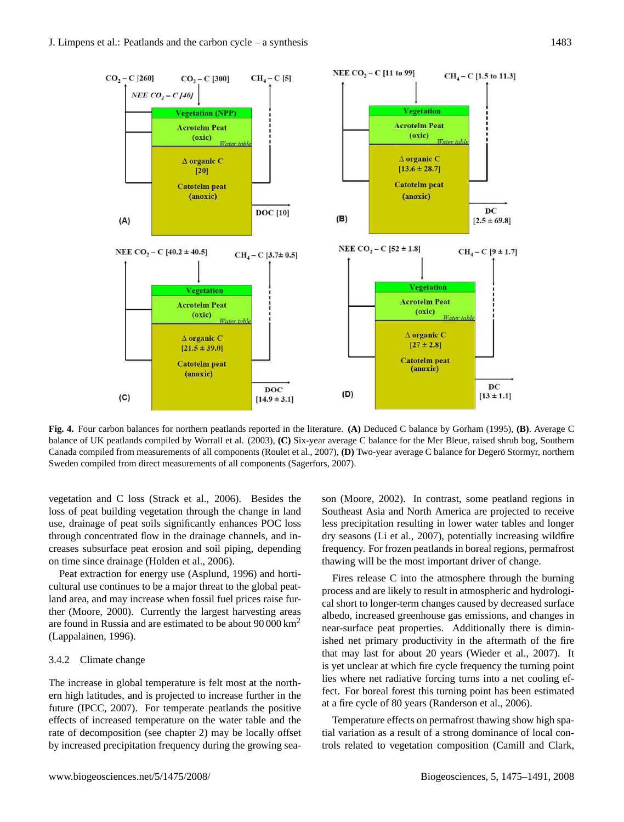

**Fig. 4.** Four carbon balances for northern peatlands reported in the literature. **(A)** Deduced C balance by Gorham (1995), **(B)**. Average C balance of UK peatlands compiled by Worrall et al. (2003), **(C)** Six-year average C balance for the Mer Bleue, raised shrub bog, Southern Canada compiled from measurements of all components (Roulet et al., 2007), **(D)** Two-year average C balance for Degero Stormyr, northern Sweden compiled from direct measurements of all components (Sagerfors, 2007).

vegetation and C loss (Strack et al., 2006). Besides the loss of peat building vegetation through the change in land use, drainage of peat soils significantly enhances POC loss through concentrated flow in the drainage channels, and increases subsurface peat erosion and soil piping, depending on time since drainage (Holden et al., 2006).

Peat extraction for energy use (Asplund, 1996) and horticultural use continues to be a major threat to the global peatland area, and may increase when fossil fuel prices raise further (Moore, 2000). Currently the largest harvesting areas are found in Russia and are estimated to be about  $90\,000\,\mathrm{km}^2$ (Lappalainen, 1996).

# 3.4.2 Climate change

The increase in global temperature is felt most at the northern high latitudes, and is projected to increase further in the future (IPCC, 2007). For temperate peatlands the positive effects of increased temperature on the water table and the rate of decomposition (see chapter 2) may be locally offset by increased precipitation frequency during the growing season (Moore, 2002). In contrast, some peatland regions in Southeast Asia and North America are projected to receive less precipitation resulting in lower water tables and longer dry seasons (Li et al., 2007), potentially increasing wildfire frequency. For frozen peatlands in boreal regions, permafrost thawing will be the most important driver of change.

Fires release C into the atmosphere through the burning process and are likely to result in atmospheric and hydrological short to longer-term changes caused by decreased surface albedo, increased greenhouse gas emissions, and changes in near-surface peat properties. Additionally there is diminished net primary productivity in the aftermath of the fire that may last for about 20 years (Wieder et al., 2007). It is yet unclear at which fire cycle frequency the turning point lies where net radiative forcing turns into a net cooling effect. For boreal forest this turning point has been estimated at a fire cycle of 80 years (Randerson et al., 2006).

Temperature effects on permafrost thawing show high spatial variation as a result of a strong dominance of local controls related to vegetation composition (Camill and Clark,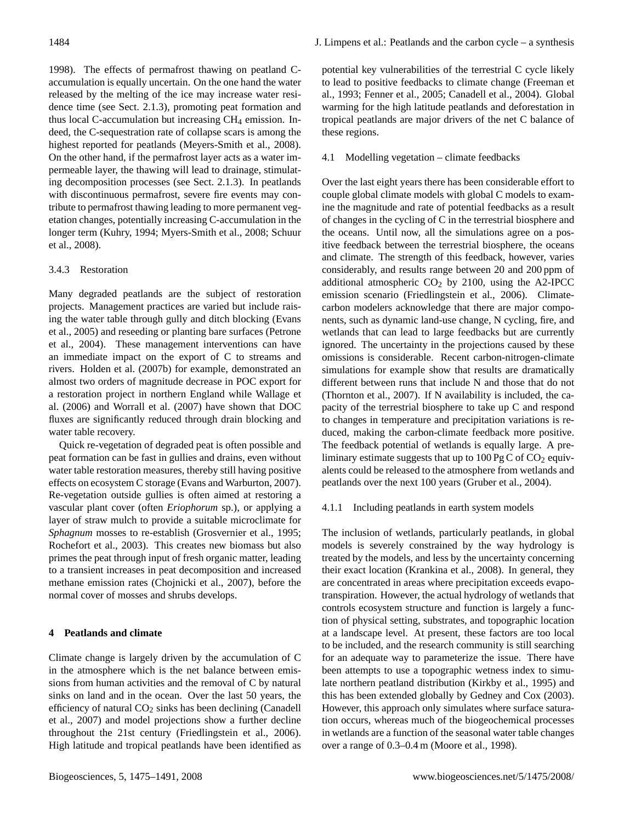1998). The effects of permafrost thawing on peatland Caccumulation is equally uncertain. On the one hand the water released by the melting of the ice may increase water residence time (see Sect. 2.1.3), promoting peat formation and thus local C-accumulation but increasing  $CH<sub>4</sub>$  emission. Indeed, the C-sequestration rate of collapse scars is among the highest reported for peatlands (Meyers-Smith et al., 2008). On the other hand, if the permafrost layer acts as a water impermeable layer, the thawing will lead to drainage, stimulating decomposition processes (see Sect. 2.1.3). In peatlands with discontinuous permafrost, severe fire events may contribute to permafrost thawing leading to more permanent vegetation changes, potentially increasing C-accumulation in the longer term (Kuhry, 1994; Myers-Smith et al., 2008; Schuur et al., 2008).

# 3.4.3 Restoration

Many degraded peatlands are the subject of restoration projects. Management practices are varied but include raising the water table through gully and ditch blocking (Evans et al., 2005) and reseeding or planting bare surfaces (Petrone et al., 2004). These management interventions can have an immediate impact on the export of C to streams and rivers. Holden et al. (2007b) for example, demonstrated an almost two orders of magnitude decrease in POC export for a restoration project in northern England while Wallage et al. (2006) and Worrall et al. (2007) have shown that DOC fluxes are significantly reduced through drain blocking and water table recovery.

Quick re-vegetation of degraded peat is often possible and peat formation can be fast in gullies and drains, even without water table restoration measures, thereby still having positive effects on ecosystem C storage (Evans and Warburton, 2007). Re-vegetation outside gullies is often aimed at restoring a vascular plant cover (often *Eriophorum* sp.), or applying a layer of straw mulch to provide a suitable microclimate for *Sphagnum* mosses to re-establish (Grosvernier et al., 1995; Rochefort et al., 2003). This creates new biomass but also primes the peat through input of fresh organic matter, leading to a transient increases in peat decomposition and increased methane emission rates (Chojnicki et al., 2007), before the normal cover of mosses and shrubs develops.

# **4 Peatlands and climate**

Climate change is largely driven by the accumulation of C in the atmosphere which is the net balance between emissions from human activities and the removal of C by natural sinks on land and in the ocean. Over the last 50 years, the efficiency of natural  $CO<sub>2</sub>$  sinks has been declining (Canadell et al., 2007) and model projections show a further decline throughout the 21st century (Friedlingstein et al., 2006). High latitude and tropical peatlands have been identified as potential key vulnerabilities of the terrestrial C cycle likely to lead to positive feedbacks to climate change (Freeman et al., 1993; Fenner et al., 2005; Canadell et al., 2004). Global warming for the high latitude peatlands and deforestation in tropical peatlands are major drivers of the net C balance of these regions.

# 4.1 Modelling vegetation – climate feedbacks

Over the last eight years there has been considerable effort to couple global climate models with global C models to examine the magnitude and rate of potential feedbacks as a result of changes in the cycling of C in the terrestrial biosphere and the oceans. Until now, all the simulations agree on a positive feedback between the terrestrial biosphere, the oceans and climate. The strength of this feedback, however, varies considerably, and results range between 20 and 200 ppm of additional atmospheric  $CO<sub>2</sub>$  by 2100, using the A2-IPCC emission scenario (Friedlingstein et al., 2006). Climatecarbon modelers acknowledge that there are major components, such as dynamic land-use change, N cycling, fire, and wetlands that can lead to large feedbacks but are currently ignored. The uncertainty in the projections caused by these omissions is considerable. Recent carbon-nitrogen-climate simulations for example show that results are dramatically different between runs that include N and those that do not (Thornton et al., 2007). If N availability is included, the capacity of the terrestrial biosphere to take up C and respond to changes in temperature and precipitation variations is reduced, making the carbon-climate feedback more positive. The feedback potential of wetlands is equally large. A preliminary estimate suggests that up to  $100 \text{ pg C}$  of  $\text{CO}_2$  equivalents could be released to the atmosphere from wetlands and peatlands over the next 100 years (Gruber et al., 2004).

#### 4.1.1 Including peatlands in earth system models

The inclusion of wetlands, particularly peatlands, in global models is severely constrained by the way hydrology is treated by the models, and less by the uncertainty concerning their exact location (Krankina et al., 2008). In general, they are concentrated in areas where precipitation exceeds evapotranspiration. However, the actual hydrology of wetlands that controls ecosystem structure and function is largely a function of physical setting, substrates, and topographic location at a landscape level. At present, these factors are too local to be included, and the research community is still searching for an adequate way to parameterize the issue. There have been attempts to use a topographic wetness index to simulate northern peatland distribution (Kirkby et al., 1995) and this has been extended globally by Gedney and Cox (2003). However, this approach only simulates where surface saturation occurs, whereas much of the biogeochemical processes in wetlands are a function of the seasonal water table changes over a range of 0.3–0.4 m (Moore et al., 1998).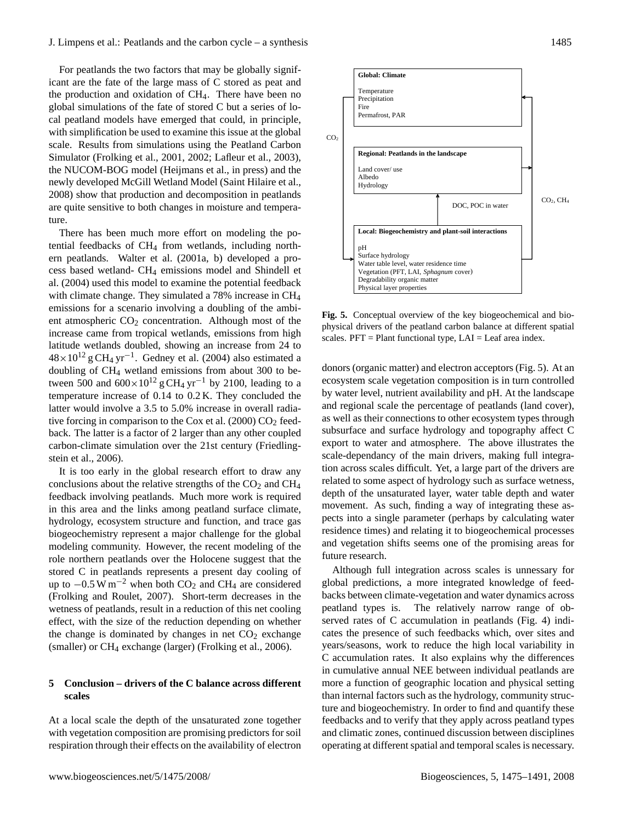For peatlands the two factors that may be globally significant are the fate of the large mass of C stored as peat and the production and oxidation of  $CH<sub>4</sub>$ . There have been no global simulations of the fate of stored C but a series of local peatland models have emerged that could, in principle, with simplification be used to examine this issue at the global scale. Results from simulations using the Peatland Carbon Simulator (Frolking et al., 2001, 2002; Lafleur et al., 2003), the NUCOM-BOG model (Heijmans et al., in press) and the newly developed McGill Wetland Model (Saint Hilaire et al., 2008) show that production and decomposition in peatlands are quite sensitive to both changes in moisture and temperature.

There has been much more effort on modeling the potential feedbacks of CH<sup>4</sup> from wetlands, including northern peatlands. Walter et al. (2001a, b) developed a process based wetland- CH<sup>4</sup> emissions model and Shindell et al. (2004) used this model to examine the potential feedback with climate change. They simulated a 78% increase in CH<sup>4</sup> emissions for a scenario involving a doubling of the ambient atmospheric CO<sub>2</sub> concentration. Although most of the increase came from tropical wetlands, emissions from high latitude wetlands doubled, showing an increase from 24 to  $48 \times 10^{12}$  g CH<sub>4</sub> yr<sup>-1</sup>. Gedney et al. (2004) also estimated a doubling of CH<sup>4</sup> wetland emissions from about 300 to between 500 and  $600 \times 10^{12}$  g CH<sub>4</sub> yr<sup>-1</sup> by 2100, leading to a temperature increase of 0.14 to 0.2 K. They concluded the latter would involve a 3.5 to 5.0% increase in overall radiative forcing in comparison to the Cox et al.  $(2000)$  CO<sub>2</sub> feedback. The latter is a factor of 2 larger than any other coupled carbon-climate simulation over the 21st century (Friedlingstein et al., 2006).

It is too early in the global research effort to draw any conclusions about the relative strengths of the  $CO<sub>2</sub>$  and  $CH<sub>4</sub>$ feedback involving peatlands. Much more work is required in this area and the links among peatland surface climate, hydrology, ecosystem structure and function, and trace gas biogeochemistry represent a major challenge for the global modeling community. However, the recent modeling of the role northern peatlands over the Holocene suggest that the stored C in peatlands represents a present day cooling of up to  $-0.5 \text{ W m}^{-2}$  when both CO<sub>2</sub> and CH<sub>4</sub> are considered (Frolking and Roulet, 2007). Short-term decreases in the wetness of peatlands, result in a reduction of this net cooling effect, with the size of the reduction depending on whether the change is dominated by changes in net  $CO<sub>2</sub>$  exchange (smaller) or CH<sup>4</sup> exchange (larger) (Frolking et al., 2006).

# **5 Conclusion – drivers of the C balance across different scales**

At a local scale the depth of the unsaturated zone together with vegetation composition are promising predictors for soil respiration through their effects on the availability of electron



**Fig. 5.** Conceptual overview of the key biogeochemical and biophysical drivers of the peatland carbon balance at different spatial scales.  $PFT = Plant functional type$ ,  $LAI = Leaf area index$ .

donors (organic matter) and electron acceptors (Fig. 5). At an ecosystem scale vegetation composition is in turn controlled by water level, nutrient availability and pH. At the landscape and regional scale the percentage of peatlands (land cover), as well as their connections to other ecosystem types through subsurface and surface hydrology and topography affect C export to water and atmosphere. The above illustrates the scale-dependancy of the main drivers, making full integration across scales difficult. Yet, a large part of the drivers are related to some aspect of hydrology such as surface wetness, depth of the unsaturated layer, water table depth and water movement. As such, finding a way of integrating these aspects into a single parameter (perhaps by calculating water residence times) and relating it to biogeochemical processes and vegetation shifts seems one of the promising areas for future research.

Although full integration across scales is unnessary for global predictions, a more integrated knowledge of feedbacks between climate-vegetation and water dynamics across peatland types is. The relatively narrow range of observed rates of C accumulation in peatlands (Fig. 4) indicates the presence of such feedbacks which, over sites and years/seasons, work to reduce the high local variability in C accumulation rates. It also explains why the differences in cumulative annual NEE between individual peatlands are more a function of geographic location and physical setting than internal factors such as the hydrology, community structure and biogeochemistry. In order to find and quantify these feedbacks and to verify that they apply across peatland types and climatic zones, continued discussion between disciplines operating at different spatial and temporal scales is necessary.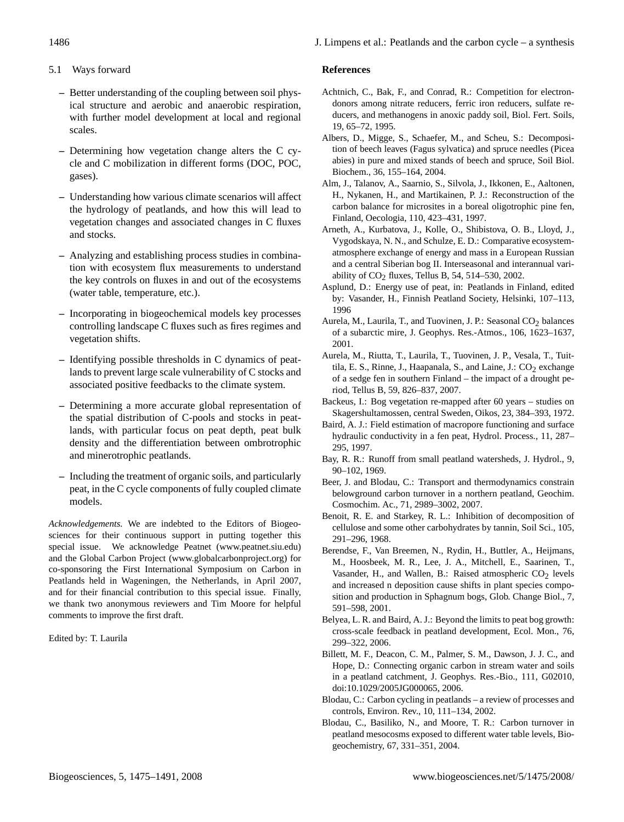# 5.1 Ways forward

- **–** Better understanding of the coupling between soil physical structure and aerobic and anaerobic respiration, with further model development at local and regional scales.
- **–** Determining how vegetation change alters the C cycle and C mobilization in different forms (DOC, POC, gases).
- **–** Understanding how various climate scenarios will affect the hydrology of peatlands, and how this will lead to vegetation changes and associated changes in C fluxes and stocks.
- **–** Analyzing and establishing process studies in combination with ecosystem flux measurements to understand the key controls on fluxes in and out of the ecosystems (water table, temperature, etc.).
- **–** Incorporating in biogeochemical models key processes controlling landscape C fluxes such as fires regimes and vegetation shifts.
- **–** Identifying possible thresholds in C dynamics of peatlands to prevent large scale vulnerability of C stocks and associated positive feedbacks to the climate system.
- **–** Determining a more accurate global representation of the spatial distribution of C-pools and stocks in peatlands, with particular focus on peat depth, peat bulk density and the differentiation between ombrotrophic and minerotrophic peatlands.
- **–** Including the treatment of organic soils, and particularly peat, in the C cycle components of fully coupled climate models.

*Acknowledgements.* We are indebted to the Editors of Biogeosciences for their continuous support in putting together this special issue. We acknowledge Peatnet [\(www.peatnet.siu.edu\)](www.peatnet.siu.edu) and the Global Carbon Project [\(www.globalcarbonproject.org\)](www.globalcarbonproject.org) for co-sponsoring the First International Symposium on Carbon in Peatlands held in Wageningen, the Netherlands, in April 2007, and for their financial contribution to this special issue. Finally, we thank two anonymous reviewers and Tim Moore for helpful comments to improve the first draft.

Edited by: T. Laurila

# **References**

- Achtnich, C., Bak, F., and Conrad, R.: Competition for electrondonors among nitrate reducers, ferric iron reducers, sulfate reducers, and methanogens in anoxic paddy soil, Biol. Fert. Soils, 19, 65–72, 1995.
- Albers, D., Migge, S., Schaefer, M., and Scheu, S.: Decomposition of beech leaves (Fagus sylvatica) and spruce needles (Picea abies) in pure and mixed stands of beech and spruce, Soil Biol. Biochem., 36, 155–164, 2004.
- Alm, J., Talanov, A., Saarnio, S., Silvola, J., Ikkonen, E., Aaltonen, H., Nykanen, H., and Martikainen, P. J.: Reconstruction of the carbon balance for microsites in a boreal oligotrophic pine fen, Finland, Oecologia, 110, 423–431, 1997.
- Arneth, A., Kurbatova, J., Kolle, O., Shibistova, O. B., Lloyd, J., Vygodskaya, N. N., and Schulze, E. D.: Comparative ecosystematmosphere exchange of energy and mass in a European Russian and a central Siberian bog II. Interseasonal and interannual variability of  $CO<sub>2</sub>$  fluxes, Tellus B, 54, 514–530, 2002.
- Asplund, D.: Energy use of peat, in: Peatlands in Finland, edited by: Vasander, H., Finnish Peatland Society, Helsinki, 107–113, 1996
- Aurela, M., Laurila, T., and Tuovinen, J. P.: Seasonal CO<sub>2</sub> balances of a subarctic mire, J. Geophys. Res.-Atmos., 106, 1623–1637, 2001.
- Aurela, M., Riutta, T., Laurila, T., Tuovinen, J. P., Vesala, T., Tuittila, E. S., Rinne, J., Haapanala, S., and Laine, J.:  $CO<sub>2</sub>$  exchange of a sedge fen in southern Finland – the impact of a drought period, Tellus B, 59, 826–837, 2007.
- Backeus, I.: Bog vegetation re-mapped after 60 years studies on Skagershultamossen, central Sweden, Oikos, 23, 384–393, 1972.
- Baird, A. J.: Field estimation of macropore functioning and surface hydraulic conductivity in a fen peat, Hydrol. Process., 11, 287– 295, 1997.
- Bay, R. R.: Runoff from small peatland watersheds, J. Hydrol., 9, 90–102, 1969.
- Beer, J. and Blodau, C.: Transport and thermodynamics constrain belowground carbon turnover in a northern peatland, Geochim. Cosmochim. Ac., 71, 2989–3002, 2007.
- Benoit, R. E. and Starkey, R. L.: Inhibition of decomposition of cellulose and some other carbohydrates by tannin, Soil Sci., 105, 291–296, 1968.
- Berendse, F., Van Breemen, N., Rydin, H., Buttler, A., Heijmans, M., Hoosbeek, M. R., Lee, J. A., Mitchell, E., Saarinen, T., Vasander, H., and Wallen, B.: Raised atmospheric  $CO<sub>2</sub>$  levels and increased n deposition cause shifts in plant species composition and production in Sphagnum bogs, Glob. Change Biol., 7, 591–598, 2001.
- Belyea, L. R. and Baird, A. J.: Beyond the limits to peat bog growth: cross-scale feedback in peatland development, Ecol. Mon., 76, 299–322, 2006.
- Billett, M. F., Deacon, C. M., Palmer, S. M., Dawson, J. J. C., and Hope, D.: Connecting organic carbon in stream water and soils in a peatland catchment, J. Geophys. Res.-Bio., 111, G02010, doi:10.1029/2005JG000065, 2006.
- Blodau, C.: Carbon cycling in peatlands a review of processes and controls, Environ. Rev., 10, 111–134, 2002.
- Blodau, C., Basiliko, N., and Moore, T. R.: Carbon turnover in peatland mesocosms exposed to different water table levels, Biogeochemistry, 67, 331–351, 2004.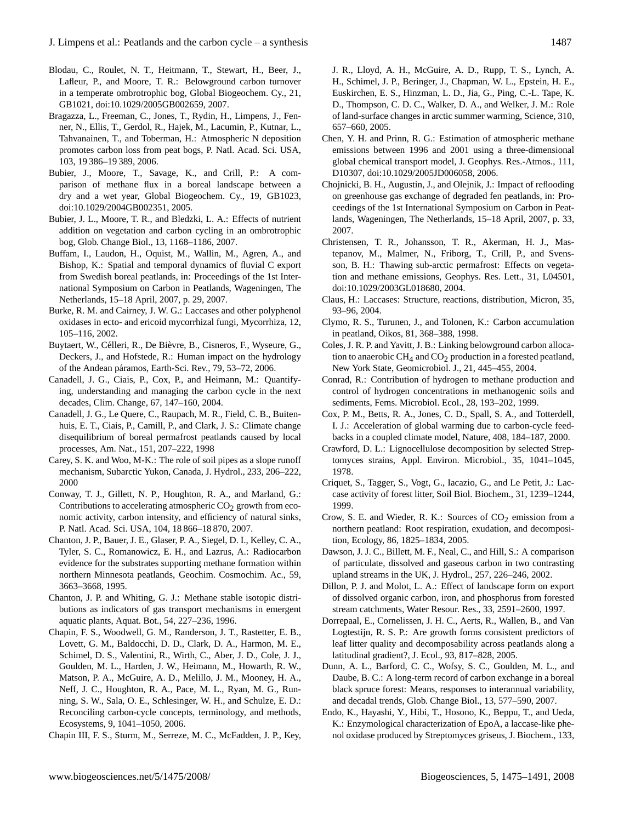- Blodau, C., Roulet, N. T., Heitmann, T., Stewart, H., Beer, J., Lafleur, P., and Moore, T. R.: Belowground carbon turnover in a temperate ombrotrophic bog, Global Biogeochem. Cy., 21, GB1021, doi:10.1029/2005GB002659, 2007.
- Bragazza, L., Freeman, C., Jones, T., Rydin, H., Limpens, J., Fenner, N., Ellis, T., Gerdol, R., Hajek, M., Lacumin, P., Kutnar, L., Tahvanainen, T., and Toberman, H.: Atmospheric N deposition promotes carbon loss from peat bogs, P. Natl. Acad. Sci. USA, 103, 19 386–19 389, 2006.
- Bubier, J., Moore, T., Savage, K., and Crill, P.: A comparison of methane flux in a boreal landscape between a dry and a wet year, Global Biogeochem. Cy., 19, GB1023, doi:10.1029/2004GB002351, 2005.
- Bubier, J. L., Moore, T. R., and Bledzki, L. A.: Effects of nutrient addition on vegetation and carbon cycling in an ombrotrophic bog, Glob. Change Biol., 13, 1168–1186, 2007.
- Buffam, I., Laudon, H., Oquist, M., Wallin, M., Agren, A., and Bishop, K.: Spatial and temporal dynamics of fluvial C export from Swedish boreal peatlands, in: Proceedings of the 1st International Symposium on Carbon in Peatlands, Wageningen, The Netherlands, 15–18 April, 2007, p. 29, 2007.
- Burke, R. M. and Cairney, J. W. G.: Laccases and other polyphenol oxidases in ecto- and ericoid mycorrhizal fungi, Mycorrhiza, 12, 105–116, 2002.
- Buytaert, W., Célleri, R., De Bièvre, B., Cisneros, F., Wyseure, G., Deckers, J., and Hofstede, R.: Human impact on the hydrology of the Andean páramos, Earth-Sci. Rev., 79, 53–72, 2006.
- Canadell, J. G., Ciais, P., Cox, P., and Heimann, M.: Quantifying, understanding and managing the carbon cycle in the next decades, Clim. Change, 67, 147–160, 2004.
- Canadell, J. G., Le Quere, C., Raupach, M. R., Field, C. B., Buitenhuis, E. T., Ciais, P., Camill, P., and Clark, J. S.: Climate change disequilibrium of boreal permafrost peatlands caused by local processes, Am. Nat., 151, 207–222, 1998
- Carey, S. K. and Woo, M-K.: The role of soil pipes as a slope runoff mechanism, Subarctic Yukon, Canada, J. Hydrol., 233, 206–222, 2000
- Conway, T. J., Gillett, N. P., Houghton, R. A., and Marland, G.: Contributions to accelerating atmospheric  $CO<sub>2</sub>$  growth from economic activity, carbon intensity, and efficiency of natural sinks, P. Natl. Acad. Sci. USA, 104, 18 866–18 870, 2007.
- Chanton, J. P., Bauer, J. E., Glaser, P. A., Siegel, D. I., Kelley, C. A., Tyler, S. C., Romanowicz, E. H., and Lazrus, A.: Radiocarbon evidence for the substrates supporting methane formation within northern Minnesota peatlands, Geochim. Cosmochim. Ac., 59, 3663–3668, 1995.
- Chanton, J. P. and Whiting, G. J.: Methane stable isotopic distributions as indicators of gas transport mechanisms in emergent aquatic plants, Aquat. Bot., 54, 227–236, 1996.
- Chapin, F. S., Woodwell, G. M., Randerson, J. T., Rastetter, E. B., Lovett, G. M., Baldocchi, D. D., Clark, D. A., Harmon, M. E., Schimel, D. S., Valentini, R., Wirth, C., Aber, J. D., Cole, J. J., Goulden, M. L., Harden, J. W., Heimann, M., Howarth, R. W., Matson, P. A., McGuire, A. D., Melillo, J. M., Mooney, H. A., Neff, J. C., Houghton, R. A., Pace, M. L., Ryan, M. G., Running, S. W., Sala, O. E., Schlesinger, W. H., and Schulze, E. D.: Reconciling carbon-cycle concepts, terminology, and methods, Ecosystems, 9, 1041–1050, 2006.

Chapin III, F. S., Sturm, M., Serreze, M. C., McFadden, J. P., Key,

J. R., Lloyd, A. H., McGuire, A. D., Rupp, T. S., Lynch, A. H., Schimel, J. P., Beringer, J., Chapman, W. L., Epstein, H. E., Euskirchen, E. S., Hinzman, L. D., Jia, G., Ping, C.-L. Tape, K. D., Thompson, C. D. C., Walker, D. A., and Welker, J. M.: Role of land-surface changes in arctic summer warming, Science, 310, 657–660, 2005.

- Chen, Y. H. and Prinn, R. G.: Estimation of atmospheric methane emissions between 1996 and 2001 using a three-dimensional global chemical transport model, J. Geophys. Res.-Atmos., 111, D10307, doi:10.1029/2005JD006058, 2006.
- Chojnicki, B. H., Augustin, J., and Olejnik, J.: Impact of reflooding on greenhouse gas exchange of degraded fen peatlands, in: Proceedings of the 1st International Symposium on Carbon in Peatlands, Wageningen, The Netherlands, 15–18 April, 2007, p. 33, 2007.
- Christensen, T. R., Johansson, T. R., Akerman, H. J., Mastepanov, M., Malmer, N., Friborg, T., Crill, P., and Svensson, B. H.: Thawing sub-arctic permafrost: Effects on vegetation and methane emissions, Geophys. Res. Lett., 31, L04501, doi:10.1029/2003GL018680, 2004.
- Claus, H.: Laccases: Structure, reactions, distribution, Micron, 35, 93–96, 2004.
- Clymo, R. S., Turunen, J., and Tolonen, K.: Carbon accumulation in peatland, Oikos, 81, 368–388, 1998.
- Coles, J. R. P. and Yavitt, J. B.: Linking belowground carbon allocation to anaerobic  $CH_4$  and  $CO_2$  production in a forested peatland, New York State, Geomicrobiol. J., 21, 445–455, 2004.
- Conrad, R.: Contribution of hydrogen to methane production and control of hydrogen concentrations in methanogenic soils and sediments, Fems. Microbiol. Ecol., 28, 193–202, 1999.
- Cox, P. M., Betts, R. A., Jones, C. D., Spall, S. A., and Totterdell, I. J.: Acceleration of global warming due to carbon-cycle feedbacks in a coupled climate model, Nature, 408, 184–187, 2000.
- Crawford, D. L.: Lignocellulose decomposition by selected Streptomyces strains, Appl. Environ. Microbiol., 35, 1041–1045, 1978.
- Criquet, S., Tagger, S., Vogt, G., Iacazio, G., and Le Petit, J.: Laccase activity of forest litter, Soil Biol. Biochem., 31, 1239–1244, 1999.
- Crow, S. E. and Wieder, R. K.: Sources of  $CO<sub>2</sub>$  emission from a northern peatland: Root respiration, exudation, and decomposition, Ecology, 86, 1825–1834, 2005.
- Dawson, J. J. C., Billett, M. F., Neal, C., and Hill, S.: A comparison of particulate, dissolved and gaseous carbon in two contrasting upland streams in the UK, J. Hydrol., 257, 226–246, 2002.
- Dillon, P. J. and Molot, L. A.: Effect of landscape form on export of dissolved organic carbon, iron, and phosphorus from forested stream catchments, Water Resour. Res., 33, 2591–2600, 1997.
- Dorrepaal, E., Cornelissen, J. H. C., Aerts, R., Wallen, B., and Van Logtestijn, R. S. P.: Are growth forms consistent predictors of leaf litter quality and decomposability across peatlands along a latitudinal gradient?, J. Ecol., 93, 817–828, 2005.
- Dunn, A. L., Barford, C. C., Wofsy, S. C., Goulden, M. L., and Daube, B. C.: A long-term record of carbon exchange in a boreal black spruce forest: Means, responses to interannual variability, and decadal trends, Glob. Change Biol., 13, 577–590, 2007.
- Endo, K., Hayashi, Y., Hibi, T., Hosono, K., Beppu, T., and Ueda, K.: Enzymological characterization of EpoA, a laccase-like phenol oxidase produced by Streptomyces griseus, J. Biochem., 133,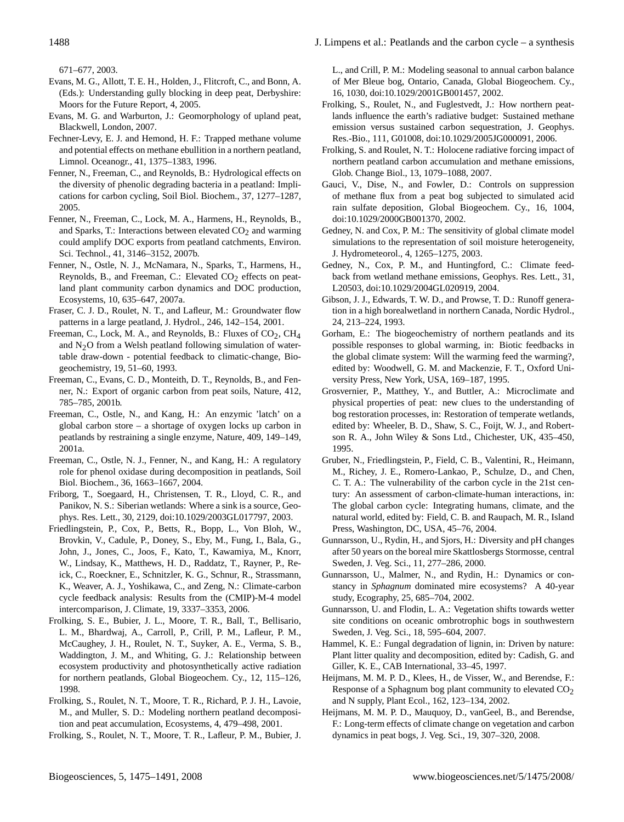671–677, 2003.

- Evans, M. G., Allott, T. E. H., Holden, J., Flitcroft, C., and Bonn, A. (Eds.): Understanding gully blocking in deep peat, Derbyshire: Moors for the Future Report, 4, 2005.
- Evans, M. G. and Warburton, J.: Geomorphology of upland peat, Blackwell, London, 2007.
- Fechner-Levy, E. J. and Hemond, H. F.: Trapped methane volume and potential effects on methane ebullition in a northern peatland, Limnol. Oceanogr., 41, 1375–1383, 1996.
- Fenner, N., Freeman, C., and Reynolds, B.: Hydrological effects on the diversity of phenolic degrading bacteria in a peatland: Implications for carbon cycling, Soil Biol. Biochem., 37, 1277–1287, 2005.
- Fenner, N., Freeman, C., Lock, M. A., Harmens, H., Reynolds, B., and Sparks, T.: Interactions between elevated  $CO<sub>2</sub>$  and warming could amplify DOC exports from peatland catchments, Environ. Sci. Technol., 41, 3146–3152, 2007b.
- Fenner, N., Ostle, N. J., McNamara, N., Sparks, T., Harmens, H., Reynolds, B., and Freeman, C.: Elevated  $CO<sub>2</sub>$  effects on peatland plant community carbon dynamics and DOC production, Ecosystems, 10, 635–647, 2007a.
- Fraser, C. J. D., Roulet, N. T., and Lafleur, M.: Groundwater flow patterns in a large peatland, J. Hydrol., 246, 142–154, 2001.
- Freeman, C., Lock, M. A., and Reynolds, B.: Fluxes of  $CO_2$ , CH<sub>4</sub> and  $N<sub>2</sub>O$  from a Welsh peatland following simulation of watertable draw-down - potential feedback to climatic-change, Biogeochemistry, 19, 51–60, 1993.
- Freeman, C., Evans, C. D., Monteith, D. T., Reynolds, B., and Fenner, N.: Export of organic carbon from peat soils, Nature, 412, 785–785, 2001b.
- Freeman, C., Ostle, N., and Kang, H.: An enzymic 'latch' on a global carbon store – a shortage of oxygen locks up carbon in peatlands by restraining a single enzyme, Nature, 409, 149–149, 2001a.
- Freeman, C., Ostle, N. J., Fenner, N., and Kang, H.: A regulatory role for phenol oxidase during decomposition in peatlands, Soil Biol. Biochem., 36, 1663–1667, 2004.
- Friborg, T., Soegaard, H., Christensen, T. R., Lloyd, C. R., and Panikov, N. S.: Siberian wetlands: Where a sink is a source, Geophys. Res. Lett., 30, 2129, doi:10.1029/2003GL017797, 2003.
- Friedlingstein, P., Cox, P., Betts, R., Bopp, L., Von Bloh, W., Brovkin, V., Cadule, P., Doney, S., Eby, M., Fung, I., Bala, G., John, J., Jones, C., Joos, F., Kato, T., Kawamiya, M., Knorr, W., Lindsay, K., Matthews, H. D., Raddatz, T., Rayner, P., Reick, C., Roeckner, E., Schnitzler, K. G., Schnur, R., Strassmann, K., Weaver, A. J., Yoshikawa, C., and Zeng, N.: Climate-carbon cycle feedback analysis: Results from the (CMIP)-M-4 model intercomparison, J. Climate, 19, 3337–3353, 2006.
- Frolking, S. E., Bubier, J. L., Moore, T. R., Ball, T., Bellisario, L. M., Bhardwaj, A., Carroll, P., Crill, P. M., Lafleur, P. M., McCaughey, J. H., Roulet, N. T., Suyker, A. E., Verma, S. B., Waddington, J. M., and Whiting, G. J.: Relationship between ecosystem productivity and photosynthetically active radiation for northern peatlands, Global Biogeochem. Cy., 12, 115–126, 1998.
- Frolking, S., Roulet, N. T., Moore, T. R., Richard, P. J. H., Lavoie, M., and Muller, S. D.: Modeling northern peatland decomposition and peat accumulation, Ecosystems, 4, 479–498, 2001.

Frolking, S., Roulet, N. T., Moore, T. R., Lafleur, P. M., Bubier, J.

L., and Crill, P. M.: Modeling seasonal to annual carbon balance of Mer Bleue bog, Ontario, Canada, Global Biogeochem. Cy., 16, 1030, doi:10.1029/2001GB001457, 2002.

- Frolking, S., Roulet, N., and Fuglestvedt, J.: How northern peatlands influence the earth's radiative budget: Sustained methane emission versus sustained carbon sequestration, J. Geophys. Res.-Bio., 111, G01008, doi:10.1029/2005JG000091, 2006.
- Frolking, S. and Roulet, N. T.: Holocene radiative forcing impact of northern peatland carbon accumulation and methane emissions, Glob. Change Biol., 13, 1079–1088, 2007.
- Gauci, V., Dise, N., and Fowler, D.: Controls on suppression of methane flux from a peat bog subjected to simulated acid rain sulfate deposition, Global Biogeochem. Cy., 16, 1004, doi:10.1029/2000GB001370, 2002.
- Gedney, N. and Cox, P. M.: The sensitivity of global climate model simulations to the representation of soil moisture heterogeneity, J. Hydrometeorol., 4, 1265–1275, 2003.
- Gedney, N., Cox, P. M., and Huntingford, C.: Climate feedback from wetland methane emissions, Geophys. Res. Lett., 31, L20503, doi:10.1029/2004GL020919, 2004.
- Gibson, J. J., Edwards, T. W. D., and Prowse, T. D.: Runoff generation in a high borealwetland in northern Canada, Nordic Hydrol., 24, 213–224, 1993.
- Gorham, E.: The biogeochemistry of northern peatlands and its possible responses to global warming, in: Biotic feedbacks in the global climate system: Will the warming feed the warming?, edited by: Woodwell, G. M. and Mackenzie, F. T., Oxford University Press, New York, USA, 169–187, 1995.
- Grosvernier, P., Matthey, Y., and Buttler, A.: Microclimate and physical properties of peat: new clues to the understanding of bog restoration processes, in: Restoration of temperate wetlands, edited by: Wheeler, B. D., Shaw, S. C., Foijt, W. J., and Robertson R. A., John Wiley & Sons Ltd., Chichester, UK, 435–450, 1995.
- Gruber, N., Friedlingstein, P., Field, C. B., Valentini, R., Heimann, M., Richey, J. E., Romero-Lankao, P., Schulze, D., and Chen, C. T. A.: The vulnerability of the carbon cycle in the 21st century: An assessment of carbon-climate-human interactions, in: The global carbon cycle: Integrating humans, climate, and the natural world, edited by: Field, C. B. and Raupach, M. R., Island Press, Washington, DC, USA, 45–76, 2004.
- Gunnarsson, U., Rydin, H., and Sjors, H.: Diversity and pH changes after 50 years on the boreal mire Skattlosbergs Stormosse, central Sweden, J. Veg. Sci., 11, 277–286, 2000.
- Gunnarsson, U., Malmer, N., and Rydin, H.: Dynamics or constancy in *Sphagnum* dominated mire ecosystems? A 40-year study, Ecography, 25, 685–704, 2002.
- Gunnarsson, U. and Flodin, L. A.: Vegetation shifts towards wetter site conditions on oceanic ombrotrophic bogs in southwestern Sweden, J. Veg. Sci., 18, 595–604, 2007.
- Hammel, K. E.: Fungal degradation of lignin, in: Driven by nature: Plant litter quality and decomposition, edited by: Cadish, G. and Giller, K. E., CAB International, 33–45, 1997.
- Heijmans, M. M. P. D., Klees, H., de Visser, W., and Berendse, F.: Response of a Sphagnum bog plant community to elevated  $CO<sub>2</sub>$ and N supply, Plant Ecol., 162, 123–134, 2002.
- Heijmans, M. M. P. D., Mauquoy, D., vanGeel, B., and Berendse, F.: Long-term effects of climate change on vegetation and carbon dynamics in peat bogs, J. Veg. Sci., 19, 307–320, 2008.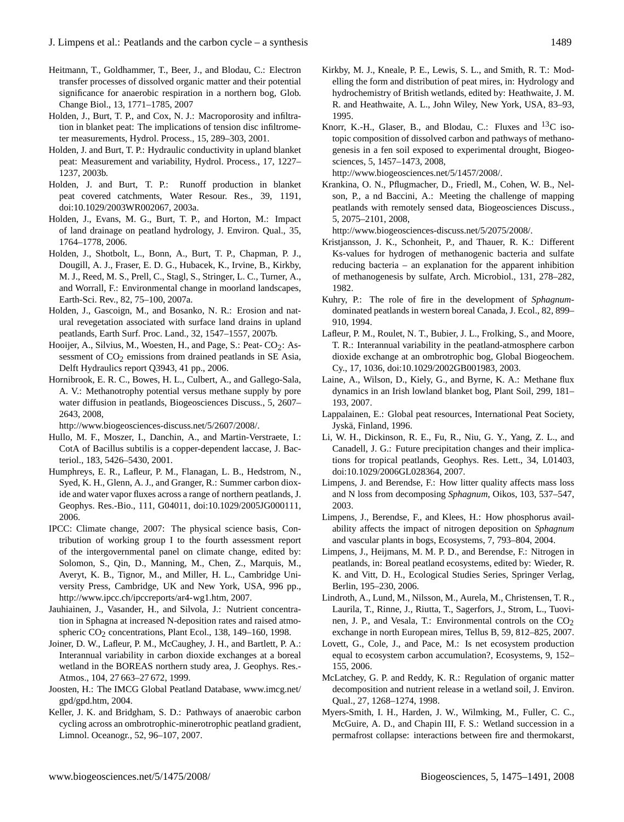- Heitmann, T., Goldhammer, T., Beer, J., and Blodau, C.: Electron transfer processes of dissolved organic matter and their potential significance for anaerobic respiration in a northern bog, Glob. Change Biol., 13, 1771–1785, 2007
- Holden, J., Burt, T. P., and Cox, N. J.: Macroporosity and infiltration in blanket peat: The implications of tension disc infiltrometer measurements, Hydrol. Process., 15, 289–303, 2001.
- Holden, J. and Burt, T. P.: Hydraulic conductivity in upland blanket peat: Measurement and variability, Hydrol. Process., 17, 1227– 1237, 2003b.
- Holden, J. and Burt, T. P.: Runoff production in blanket peat covered catchments, Water Resour. Res., 39, 1191, doi:10.1029/2003WR002067, 2003a.
- Holden, J., Evans, M. G., Burt, T. P., and Horton, M.: Impact of land drainage on peatland hydrology, J. Environ. Qual., 35, 1764–1778, 2006.
- Holden, J., Shotbolt, L., Bonn, A., Burt, T. P., Chapman, P. J., Dougill, A. J., Fraser, E. D. G., Hubacek, K., Irvine, B., Kirkby, M. J., Reed, M. S., Prell, C., Stagl, S., Stringer, L. C., Turner, A., and Worrall, F.: Environmental change in moorland landscapes, Earth-Sci. Rev., 82, 75–100, 2007a.
- Holden, J., Gascoign, M., and Bosanko, N. R.: Erosion and natural revegetation associated with surface land drains in upland peatlands, Earth Surf. Proc. Land., 32, 1547–1557, 2007b.
- Hooijer, A., Silvius, M., Woesten, H., and Page, S.: Peat- CO<sub>2</sub>: Assessment of  $CO<sub>2</sub>$  emissions from drained peatlands in SE Asia, Delft Hydraulics report Q3943, 41 pp., 2006.
- Hornibrook, E. R. C., Bowes, H. L., Culbert, A., and Gallego-Sala, A. V.: Methanotrophy potential versus methane supply by pore water diffusion in peatlands, Biogeosciences Discuss., 5, 2607– 2643, 2008,

[http://www.biogeosciences-discuss.net/5/2607/2008/.](http://www.biogeosciences-discuss.net/5/2607/2008/)

- Hullo, M. F., Moszer, I., Danchin, A., and Martin-Verstraete, I.: CotA of Bacillus subtilis is a copper-dependent laccase, J. Bacteriol., 183, 5426–5430, 2001.
- Humphreys, E. R., Lafleur, P. M., Flanagan, L. B., Hedstrom, N., Syed, K. H., Glenn, A. J., and Granger, R.: Summer carbon dioxide and water vapor fluxes across a range of northern peatlands, J. Geophys. Res.-Bio., 111, G04011, doi:10.1029/2005JG000111, 2006.
- IPCC: Climate change, 2007: The physical science basis, Contribution of working group I to the fourth assessment report of the intergovernmental panel on climate change, edited by: Solomon, S., Qin, D., Manning, M., Chen, Z., Marquis, M., Averyt, K. B., Tignor, M., and Miller, H. L., Cambridge University Press, Cambridge, UK and New York, USA, 996 pp., [http://www.ipcc.ch/ipccreports/ar4-wg1.htm,](http://www.ipcc.ch/ipccreports/ar4-wg1.htm) 2007.
- Jauhiainen, J., Vasander, H., and Silvola, J.: Nutrient concentration in Sphagna at increased N-deposition rates and raised atmospheric CO<sub>2</sub> concentrations, Plant Ecol., 138, 149-160, 1998.
- Joiner, D. W., Lafleur, P. M., McCaughey, J. H., and Bartlett, P. A.: Interannual variability in carbon dioxide exchanges at a boreal wetland in the BOREAS northern study area, J. Geophys. Res.- Atmos., 104, 27 663–27 672, 1999.
- Joosten, H.: The IMCG Global Peatland Database, [www.imcg.net/](www.imcg.net/gpd/gpd.htm) [gpd/gpd.htm,](www.imcg.net/gpd/gpd.htm) 2004.
- Keller, J. K. and Bridgham, S. D.: Pathways of anaerobic carbon cycling across an ombrotrophic-minerotrophic peatland gradient, Limnol. Oceanogr., 52, 96–107, 2007.
- Kirkby, M. J., Kneale, P. E., Lewis, S. L., and Smith, R. T.: Modelling the form and distribution of peat mires, in: Hydrology and hydrochemistry of British wetlands, edited by: Heathwaite, J. M. R. and Heathwaite, A. L., John Wiley, New York, USA, 83–93, 1995.
- Knorr, K.-H., Glaser, B., and Blodau, C.: Fluxes and <sup>13</sup>C isotopic composition of dissolved carbon and pathways of methanogenesis in a fen soil exposed to experimental drought, Biogeosciences, 5, 1457–1473, 2008,

[http://www.biogeosciences.net/5/1457/2008/.](http://www.biogeosciences.net/5/1457/2008/)

Krankina, O. N., Pflugmacher, D., Friedl, M., Cohen, W. B., Nelson, P., a nd Baccini, A.: Meeting the challenge of mapping peatlands with remotely sensed data, Biogeosciences Discuss., 5, 2075–2101, 2008,

[http://www.biogeosciences-discuss.net/5/2075/2008/.](http://www.biogeosciences-discuss.net/5/2075/2008/)

- Kristjansson, J. K., Schonheit, P., and Thauer, R. K.: Different Ks-values for hydrogen of methanogenic bacteria and sulfate reducing bacteria – an explanation for the apparent inhibition of methanogenesis by sulfate, Arch. Microbiol., 131, 278–282, 1982.
- Kuhry, P.: The role of fire in the development of *Sphagnum*dominated peatlands in western boreal Canada, J. Ecol., 82, 899– 910, 1994.
- Lafleur, P. M., Roulet, N. T., Bubier, J. L., Frolking, S., and Moore, T. R.: Interannual variability in the peatland-atmosphere carbon dioxide exchange at an ombrotrophic bog, Global Biogeochem. Cy., 17, 1036, doi:10.1029/2002GB001983, 2003.
- Laine, A., Wilson, D., Kiely, G., and Byrne, K. A.: Methane flux dynamics in an Irish lowland blanket bog, Plant Soil, 299, 181– 193, 2007.
- Lappalainen, E.: Global peat resources, International Peat Society, Jyskä, Finland, 1996.
- Li, W. H., Dickinson, R. E., Fu, R., Niu, G. Y., Yang, Z. L., and Canadell, J. G.: Future precipitation changes and their implications for tropical peatlands, Geophys. Res. Lett., 34, L01403, doi:10.1029/2006GL028364, 2007.
- Limpens, J. and Berendse, F.: How litter quality affects mass loss and N loss from decomposing *Sphagnum*, Oikos, 103, 537–547, 2003.
- Limpens, J., Berendse, F., and Klees, H.: How phosphorus availability affects the impact of nitrogen deposition on *Sphagnum* and vascular plants in bogs, Ecosystems, 7, 793–804, 2004.
- Limpens, J., Heijmans, M. M. P. D., and Berendse, F.: Nitrogen in peatlands, in: Boreal peatland ecosystems, edited by: Wieder, R. K. and Vitt, D. H., Ecological Studies Series, Springer Verlag, Berlin, 195–230, 2006.
- Lindroth, A., Lund, M., Nilsson, M., Aurela, M., Christensen, T. R., Laurila, T., Rinne, J., Riutta, T., Sagerfors, J., Strom, L., Tuovinen, J. P., and Vesala, T.: Environmental controls on the  $CO<sub>2</sub>$ exchange in north European mires, Tellus B, 59, 812–825, 2007.
- Lovett, G., Cole, J., and Pace, M.: Is net ecosystem production equal to ecosystem carbon accumulation?, Ecosystems, 9, 152– 155, 2006.
- McLatchey, G. P. and Reddy, K. R.: Regulation of organic matter decomposition and nutrient release in a wetland soil, J. Environ. Qual., 27, 1268–1274, 1998.
- Myers-Smith, I. H., Harden, J. W., Wilmking, M., Fuller, C. C., McGuire, A. D., and Chapin III, F. S.: Wetland succession in a permafrost collapse: interactions between fire and thermokarst,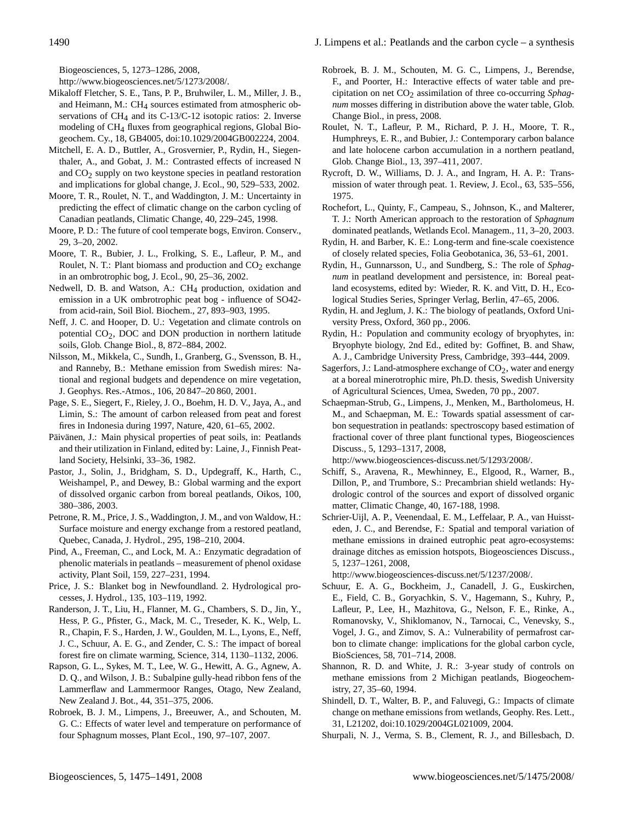Biogeosciences, 5, 1273–1286, 2008,

[http://www.biogeosciences.net/5/1273/2008/.](http://www.biogeosciences.net/5/1273/2008/)

- Mikaloff Fletcher, S. E., Tans, P. P., Bruhwiler, L. M., Miller, J. B., and Heimann, M.: CH<sub>4</sub> sources estimated from atmospheric observations of  $CH_4$  and its C-13/C-12 isotopic ratios: 2. Inverse modeling of CH4 fluxes from geographical regions, Global Biogeochem. Cy., 18, GB4005, doi:10.1029/2004GB002224, 2004.
- Mitchell, E. A. D., Buttler, A., Grosvernier, P., Rydin, H., Siegenthaler, A., and Gobat, J. M.: Contrasted effects of increased N and  $CO<sub>2</sub>$  supply on two keystone species in peatland restoration and implications for global change, J. Ecol., 90, 529–533, 2002.
- Moore, T. R., Roulet, N. T., and Waddington, J. M.: Uncertainty in predicting the effect of climatic change on the carbon cycling of Canadian peatlands, Climatic Change, 40, 229–245, 1998.
- Moore, P. D.: The future of cool temperate bogs, Environ. Conserv., 29, 3–20, 2002.
- Moore, T. R., Bubier, J. L., Frolking, S. E., Lafleur, P. M., and Roulet, N. T.: Plant biomass and production and  $CO<sub>2</sub>$  exchange in an ombrotrophic bog, J. Ecol., 90, 25–36, 2002.
- Nedwell, D. B. and Watson, A.: CH<sub>4</sub> production, oxidation and emission in a UK ombrotrophic peat bog - influence of SO42 from acid-rain, Soil Biol. Biochem., 27, 893–903, 1995.
- Neff, J. C. and Hooper, D. U.: Vegetation and climate controls on potential CO2, DOC and DON production in northern latitude soils, Glob. Change Biol., 8, 872–884, 2002.
- Nilsson, M., Mikkela, C., Sundh, I., Granberg, G., Svensson, B. H., and Ranneby, B.: Methane emission from Swedish mires: National and regional budgets and dependence on mire vegetation, J. Geophys. Res.-Atmos., 106, 20 847–20 860, 2001.
- Page, S. E., Siegert, F., Rieley, J. O., Boehm, H. D. V., Jaya, A., and Limin, S.: The amount of carbon released from peat and forest fires in Indonesia during 1997, Nature, 420, 61–65, 2002.
- Päivänen, J.: Main physical properties of peat soils, in: Peatlands and their utilization in Finland, edited by: Laine, J., Finnish Peatland Society, Helsinki, 33–36, 1982.
- Pastor, J., Solin, J., Bridgham, S. D., Updegraff, K., Harth, C., Weishampel, P., and Dewey, B.: Global warming and the export of dissolved organic carbon from boreal peatlands, Oikos, 100, 380–386, 2003.
- Petrone, R. M., Price, J. S., Waddington, J. M., and von Waldow, H.: Surface moisture and energy exchange from a restored peatland, Quebec, Canada, J. Hydrol., 295, 198–210, 2004.
- Pind, A., Freeman, C., and Lock, M. A.: Enzymatic degradation of phenolic materials in peatlands – measurement of phenol oxidase activity, Plant Soil, 159, 227–231, 1994.
- Price, J. S.: Blanket bog in Newfoundland. 2. Hydrological processes, J. Hydrol., 135, 103–119, 1992.
- Randerson, J. T., Liu, H., Flanner, M. G., Chambers, S. D., Jin, Y., Hess, P. G., Pfister, G., Mack, M. C., Treseder, K. K., Welp, L. R., Chapin, F. S., Harden, J. W., Goulden, M. L., Lyons, E., Neff, J. C., Schuur, A. E. G., and Zender, C. S.: The impact of boreal forest fire on climate warming, Science, 314, 1130–1132, 2006.
- Rapson, G. L., Sykes, M. T., Lee, W. G., Hewitt, A. G., Agnew, A. D. Q., and Wilson, J. B.: Subalpine gully-head ribbon fens of the Lammerflaw and Lammermoor Ranges, Otago, New Zealand, New Zealand J. Bot., 44, 351–375, 2006.
- Robroek, B. J. M., Limpens, J., Breeuwer, A., and Schouten, M. G. C.: Effects of water level and temperature on performance of four Sphagnum mosses, Plant Ecol., 190, 97–107, 2007.
- Robroek, B. J. M., Schouten, M. G. C., Limpens, J., Berendse, F., and Poorter, H.: Interactive effects of water table and precipitation on net CO<sub>2</sub> assimilation of three co-occurring *Sphagnum* mosses differing in distribution above the water table, Glob. Change Biol., in press, 2008.
- Roulet, N. T., Lafleur, P. M., Richard, P. J. H., Moore, T. R., Humphreys, E. R., and Bubier, J.: Contemporary carbon balance and late holocene carbon accumulation in a northern peatland, Glob. Change Biol., 13, 397–411, 2007.
- Rycroft, D. W., Williams, D. J. A., and Ingram, H. A. P.: Transmission of water through peat. 1. Review, J. Ecol., 63, 535–556, 1975.
- Rochefort, L., Quinty, F., Campeau, S., Johnson, K., and Malterer, T. J.: North American approach to the restoration of *Sphagnum* dominated peatlands, Wetlands Ecol. Managem., 11, 3–20, 2003.
- Rydin, H. and Barber, K. E.: Long-term and fine-scale coexistence of closely related species, Folia Geobotanica, 36, 53–61, 2001.
- Rydin, H., Gunnarsson, U., and Sundberg, S.: The role of *Sphagnum* in peatland development and persistence, in: Boreal peatland ecosystems, edited by: Wieder, R. K. and Vitt, D. H., Ecological Studies Series, Springer Verlag, Berlin, 47–65, 2006.
- Rydin, H. and Jeglum, J. K.: The biology of peatlands, Oxford University Press, Oxford, 360 pp., 2006.
- Rydin, H.: Population and community ecology of bryophytes, in: Bryophyte biology, 2nd Ed., edited by: Goffinet, B. and Shaw, A. J., Cambridge University Press, Cambridge, 393–444, 2009.
- Sagerfors, J.: Land-atmosphere exchange of  $CO<sub>2</sub>$ , water and energy at a boreal minerotrophic mire, Ph.D. thesis, Swedish University of Agricultural Sciences, Umea, Sweden, 70 pp., 2007.
- Schaepman-Strub, G., Limpens, J., Menken, M., Bartholomeus, H. M., and Schaepman, M. E.: Towards spatial assessment of carbon sequestration in peatlands: spectroscopy based estimation of fractional cover of three plant functional types, Biogeosciences Discuss., 5, 1293–1317, 2008,

[http://www.biogeosciences-discuss.net/5/1293/2008/.](http://www.biogeosciences-discuss.net/5/1293/2008/)

- Schiff, S., Aravena, R., Mewhinney, E., Elgood, R., Warner, B., Dillon, P., and Trumbore, S.: Precambrian shield wetlands: Hydrologic control of the sources and export of dissolved organic matter, Climatic Change, 40, 167-188, 1998.
- Schrier-Uijl, A. P., Veenendaal, E. M., Leffelaar, P. A., van Huissteden, J. C., and Berendse, F.: Spatial and temporal variation of methane emissions in drained eutrophic peat agro-ecosystems: drainage ditches as emission hotspots, Biogeosciences Discuss., 5, 1237–1261, 2008,

[http://www.biogeosciences-discuss.net/5/1237/2008/.](http://www.biogeosciences-discuss.net/5/1237/2008/)

- Schuur, E. A. G., Bockheim, J., Canadell, J. G., Euskirchen, E., Field, C. B., Goryachkin, S. V., Hagemann, S., Kuhry, P., Lafleur, P., Lee, H., Mazhitova, G., Nelson, F. E., Rinke, A., Romanovsky, V., Shiklomanov, N., Tarnocai, C., Venevsky, S., Vogel, J. G., and Zimov, S. A.: Vulnerability of permafrost carbon to climate change: implications for the global carbon cycle, BioSciences, 58, 701–714, 2008.
- Shannon, R. D. and White, J. R.: 3-year study of controls on methane emissions from 2 Michigan peatlands, Biogeochemistry, 27, 35–60, 1994.
- Shindell, D. T., Walter, B. P., and Faluvegi, G.: Impacts of climate change on methane emissions from wetlands, Geophy. Res. Lett., 31, L21202, doi:10.1029/2004GL021009, 2004.
- Shurpali, N. J., Verma, S. B., Clement, R. J., and Billesbach, D.